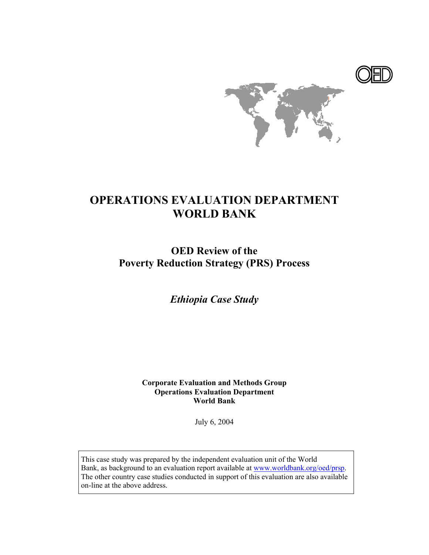



# **OPERATIONS EVALUATION DEPARTMENT WORLD BANK**

**OED Review of the Poverty Reduction Strategy (PRS) Process**

*Ethiopia Case Study* 

**Corporate Evaluation and Methods Group Operations Evaluation Department World Bank**

July 6, 2004

This case study was prepared by the independent evaluation unit of the World Bank, as background to an evaluation report available at www.worldbank.org/oed/prsp. The other country case studies conducted in support of this evaluation are also available on-line at the above address.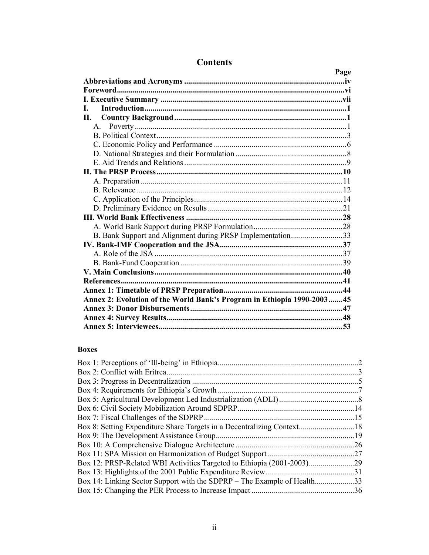|                                                                         | Page |
|-------------------------------------------------------------------------|------|
|                                                                         |      |
|                                                                         |      |
|                                                                         |      |
| L.                                                                      |      |
| II. –                                                                   |      |
| $\mathsf{A}$                                                            |      |
|                                                                         |      |
|                                                                         |      |
|                                                                         |      |
|                                                                         |      |
|                                                                         |      |
|                                                                         |      |
|                                                                         |      |
|                                                                         |      |
|                                                                         |      |
|                                                                         |      |
|                                                                         |      |
| B. Bank Support and Alignment during PRSP Implementation33              |      |
|                                                                         |      |
|                                                                         |      |
|                                                                         |      |
|                                                                         |      |
|                                                                         |      |
|                                                                         |      |
|                                                                         |      |
| Annex 2: Evolution of the World Bank's Program in Ethiopia 1990-2003 45 |      |
|                                                                         |      |
|                                                                         |      |
|                                                                         |      |

# **Contents**

### **Boxes**

|                                                                      | .26 |
|----------------------------------------------------------------------|-----|
|                                                                      | 27  |
| Box 12: PRSP-Related WBI Activities Targeted to Ethiopia (2001-2003) | -29 |
|                                                                      | .31 |
|                                                                      | .33 |
|                                                                      |     |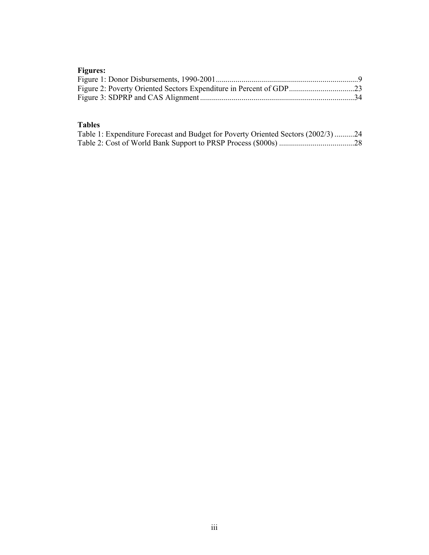# **Figures:**

# **Tables**

| Table 1: Expenditure Forecast and Budget for Poverty Oriented Sectors (2002/3)24 |  |
|----------------------------------------------------------------------------------|--|
|                                                                                  |  |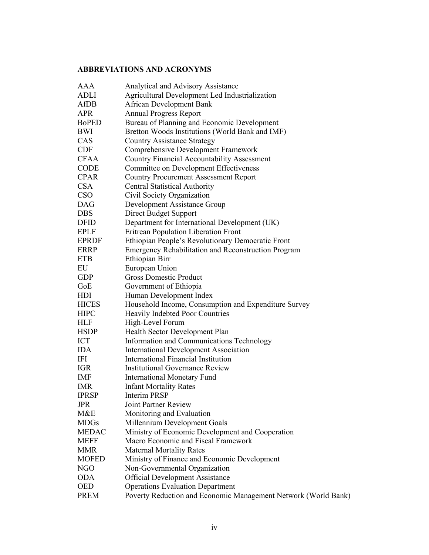# **ABBREVIATIONS AND ACRONYMS**

| AAA          | Analytical and Advisory Assistance                             |
|--------------|----------------------------------------------------------------|
| <b>ADLI</b>  | Agricultural Development Led Industrialization                 |
| AfDB         | <b>African Development Bank</b>                                |
| APR          | <b>Annual Progress Report</b>                                  |
| <b>BoPED</b> | Bureau of Planning and Economic Development                    |
| <b>BWI</b>   | Bretton Woods Institutions (World Bank and IMF)                |
| CAS          | <b>Country Assistance Strategy</b>                             |
| <b>CDF</b>   | Comprehensive Development Framework                            |
| <b>CFAA</b>  | <b>Country Financial Accountability Assessment</b>             |
| <b>CODE</b>  | Committee on Development Effectiveness                         |
| <b>CPAR</b>  | <b>Country Procurement Assessment Report</b>                   |
| <b>CSA</b>   | <b>Central Statistical Authority</b>                           |
| <b>CSO</b>   | Civil Society Organization                                     |
| <b>DAG</b>   | Development Assistance Group                                   |
| <b>DBS</b>   | Direct Budget Support                                          |
| <b>DFID</b>  | Department for International Development (UK)                  |
| <b>EPLF</b>  | Eritrean Population Liberation Front                           |
| <b>EPRDF</b> | Ethiopian People's Revolutionary Democratic Front              |
| <b>ERRP</b>  | <b>Emergency Rehabilitation and Reconstruction Program</b>     |
| <b>ETB</b>   | Ethiopian Birr                                                 |
| EU           | European Union                                                 |
| <b>GDP</b>   | <b>Gross Domestic Product</b>                                  |
| GoE          | Government of Ethiopia                                         |
| HDI          | Human Development Index                                        |
| <b>HICES</b> | Household Income, Consumption and Expenditure Survey           |
| <b>HIPC</b>  | Heavily Indebted Poor Countries                                |
| <b>HLF</b>   | High-Level Forum                                               |
| <b>HSDP</b>  | Health Sector Development Plan                                 |
| ICT          | Information and Communications Technology                      |
| <b>IDA</b>   | <b>International Development Association</b>                   |
| IFI          | International Financial Institution                            |
| <b>IGR</b>   | <b>Institutional Governance Review</b>                         |
| <b>IMF</b>   | <b>International Monetary Fund</b>                             |
| <b>IMR</b>   | <b>Infant Mortality Rates</b>                                  |
| <b>IPRSP</b> | <b>Interim PRSP</b>                                            |
| <b>JPR</b>   | <b>Joint Partner Review</b>                                    |
| M&E          | Monitoring and Evaluation                                      |
| <b>MDGs</b>  | Millennium Development Goals                                   |
| <b>MEDAC</b> | Ministry of Economic Development and Cooperation               |
| <b>MEFF</b>  | Macro Economic and Fiscal Framework                            |
| <b>MMR</b>   | <b>Maternal Mortality Rates</b>                                |
| <b>MOFED</b> | Ministry of Finance and Economic Development                   |
| NGO          | Non-Governmental Organization                                  |
| <b>ODA</b>   | <b>Official Development Assistance</b>                         |
| <b>OED</b>   | <b>Operations Evaluation Department</b>                        |
| <b>PREM</b>  | Poverty Reduction and Economic Management Network (World Bank) |
|              |                                                                |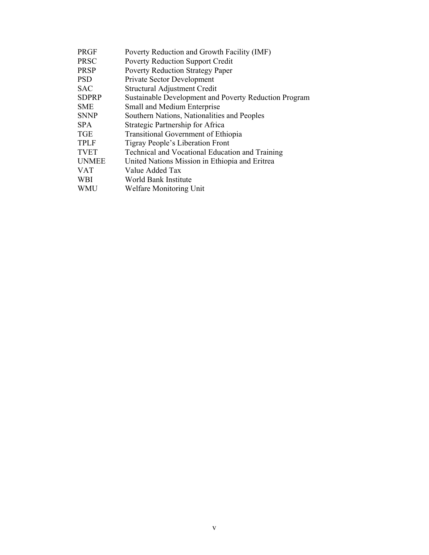| <b>PRGF</b>  | Poverty Reduction and Growth Facility (IMF)           |
|--------------|-------------------------------------------------------|
| <b>PRSC</b>  | <b>Poverty Reduction Support Credit</b>               |
| <b>PRSP</b>  | <b>Poverty Reduction Strategy Paper</b>               |
| <b>PSD</b>   | <b>Private Sector Development</b>                     |
| <b>SAC</b>   | Structural Adjustment Credit                          |
| <b>SDPRP</b> | Sustainable Development and Poverty Reduction Program |
| <b>SME</b>   | Small and Medium Enterprise                           |
| <b>SNNP</b>  | Southern Nations, Nationalities and Peoples           |
| <b>SPA</b>   | Strategic Partnership for Africa                      |
| <b>TGE</b>   | <b>Transitional Government of Ethiopia</b>            |
| <b>TPLF</b>  | Tigray People's Liberation Front                      |
| <b>TVET</b>  | Technical and Vocational Education and Training       |
| <b>UNMEE</b> | United Nations Mission in Ethiopia and Eritrea        |
| <b>VAT</b>   | Value Added Tax                                       |
| <b>WBI</b>   | World Bank Institute                                  |
| <b>WMU</b>   | Welfare Monitoring Unit                               |
|              |                                                       |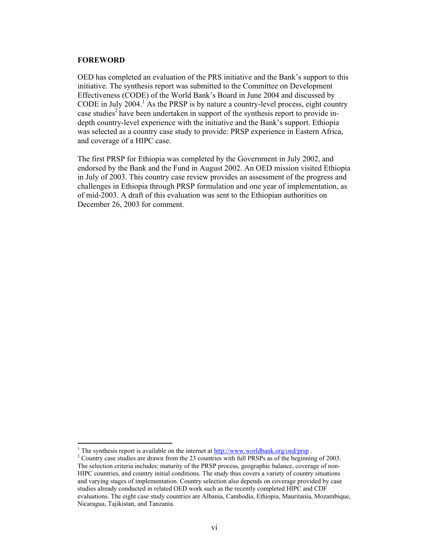#### **FOREWORD**

l

OED has completed an evaluation of the PRS initiative and the Bank's support to this initiative. The synthesis report was submitted to the Committee on Development Effectiveness (CODE) of the World Bank's Board in June 2004 and discussed by CODE in July  $2004$ .<sup>1</sup> As the PRSP is by nature a country-level process, eight country case studies<sup>2</sup> have been undertaken in support of the synthesis report to provide indepth country-level experience with the initiative and the Bank's support. Ethiopia was selected as a country case study to provide: PRSP experience in Eastern Africa, and coverage of a HIPC case.

The first PRSP for Ethiopia was completed by the Government in July 2002, and endorsed by the Bank and the Fund in August 2002. An OED mission visited Ethiopia in July of 2003. This country case review provides an assessment of the progress and challenges in Ethiopia through PRSP formulation and one year of implementation, as of mid-2003. A draft of this evaluation was sent to the Ethiopian authorities on December 26, 2003 for comment.

<sup>&</sup>lt;sup>1</sup> The synthesis report is available on the internet at  $\frac{http://www.worldbank.org/oed/prsp}{http://www.worldbank.org/oed/prsp}$ .

<sup>&</sup>lt;sup>2</sup> Country case studies are drawn from the 23 countries with full PRSPs as of the beginning of 2003. The selection criteria includes: maturity of the PRSP process, geographic balance, coverage of non-HIPC countries, and country initial conditions. The study thus covers a variety of country situations and varying stages of implementation. Country selection also depends on coverage provided by case studies already conducted in related OED work such as the recently completed HIPC and CDF evaluations. The eight case study countries are Albania, Cambodia, Ethiopia, Mauritania, Mozambique, Nicaragua, Tajikistan, and Tanzania.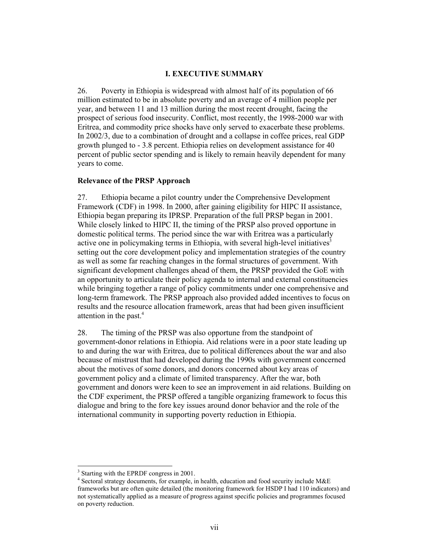### **I. EXECUTIVE SUMMARY**

26. Poverty in Ethiopia is widespread with almost half of its population of 66 million estimated to be in absolute poverty and an average of 4 million people per year, and between 11 and 13 million during the most recent drought, facing the prospect of serious food insecurity. Conflict, most recently, the 1998-2000 war with Eritrea, and commodity price shocks have only served to exacerbate these problems. In 2002/3, due to a combination of drought and a collapse in coffee prices, real GDP growth plunged to - 3.8 percent. Ethiopia relies on development assistance for 40 percent of public sector spending and is likely to remain heavily dependent for many years to come.

#### **Relevance of the PRSP Approach**

27. Ethiopia became a pilot country under the Comprehensive Development Framework (CDF) in 1998. In 2000, after gaining eligibility for HIPC II assistance, Ethiopia began preparing its IPRSP. Preparation of the full PRSP began in 2001. While closely linked to HIPC II, the timing of the PRSP also proved opportune in domestic political terms. The period since the war with Eritrea was a particularly active one in policymaking terms in Ethiopia, with several high-level initiatives<sup>3</sup> setting out the core development policy and implementation strategies of the country as well as some far reaching changes in the formal structures of government. With significant development challenges ahead of them, the PRSP provided the GoE with an opportunity to articulate their policy agenda to internal and external constituencies while bringing together a range of policy commitments under one comprehensive and long-term framework. The PRSP approach also provided added incentives to focus on results and the resource allocation framework, areas that had been given insufficient attention in the past.<sup>4</sup>

28. The timing of the PRSP was also opportune from the standpoint of government-donor relations in Ethiopia. Aid relations were in a poor state leading up to and during the war with Eritrea, due to political differences about the war and also because of mistrust that had developed during the 1990s with government concerned about the motives of some donors, and donors concerned about key areas of government policy and a climate of limited transparency. After the war, both government and donors were keen to see an improvement in aid relations. Building on the CDF experiment, the PRSP offered a tangible organizing framework to focus this dialogue and bring to the fore key issues around donor behavior and the role of the international community in supporting poverty reduction in Ethiopia.

<sup>&</sup>lt;sup>3</sup> Starting with the EPRDF congress in 2001.

<sup>4</sup> Sectoral strategy documents, for example, in health, education and food security include M&E frameworks but are often quite detailed (the monitoring framework for HSDP I had 110 indicators) and not systematically applied as a measure of progress against specific policies and programmes focused on poverty reduction.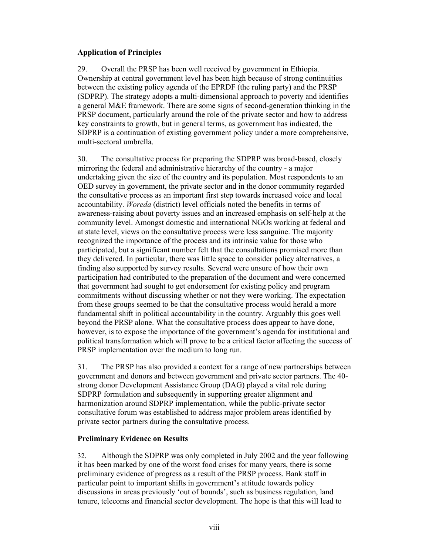### **Application of Principles**

29. Overall the PRSP has been well received by government in Ethiopia. Ownership at central government level has been high because of strong continuities between the existing policy agenda of the EPRDF (the ruling party) and the PRSP (SDPRP). The strategy adopts a multi-dimensional approach to poverty and identifies a general M&E framework. There are some signs of second-generation thinking in the PRSP document, particularly around the role of the private sector and how to address key constraints to growth, but in general terms, as government has indicated, the SDPRP is a continuation of existing government policy under a more comprehensive, multi-sectoral umbrella.

30. The consultative process for preparing the SDPRP was broad-based, closely mirroring the federal and administrative hierarchy of the country - a major undertaking given the size of the country and its population. Most respondents to an OED survey in government, the private sector and in the donor community regarded the consultative process as an important first step towards increased voice and local accountability. *Woreda* (district) level officials noted the benefits in terms of awareness-raising about poverty issues and an increased emphasis on self-help at the community level. Amongst domestic and international NGOs working at federal and at state level, views on the consultative process were less sanguine. The majority recognized the importance of the process and its intrinsic value for those who participated, but a significant number felt that the consultations promised more than they delivered. In particular, there was little space to consider policy alternatives, a finding also supported by survey results. Several were unsure of how their own participation had contributed to the preparation of the document and were concerned that government had sought to get endorsement for existing policy and program commitments without discussing whether or not they were working. The expectation from these groups seemed to be that the consultative process would herald a more fundamental shift in political accountability in the country. Arguably this goes well beyond the PRSP alone. What the consultative process does appear to have done, however, is to expose the importance of the government's agenda for institutional and political transformation which will prove to be a critical factor affecting the success of PRSP implementation over the medium to long run.

31. The PRSP has also provided a context for a range of new partnerships between government and donors and between government and private sector partners. The 40 strong donor Development Assistance Group (DAG) played a vital role during SDPRP formulation and subsequently in supporting greater alignment and harmonization around SDPRP implementation, while the public-private sector consultative forum was established to address major problem areas identified by private sector partners during the consultative process.

### **Preliminary Evidence on Results**

32. Although the SDPRP was only completed in July 2002 and the year following it has been marked by one of the worst food crises for many years, there is some preliminary evidence of progress as a result of the PRSP process. Bank staff in particular point to important shifts in government's attitude towards policy discussions in areas previously 'out of bounds', such as business regulation, land tenure, telecoms and financial sector development. The hope is that this will lead to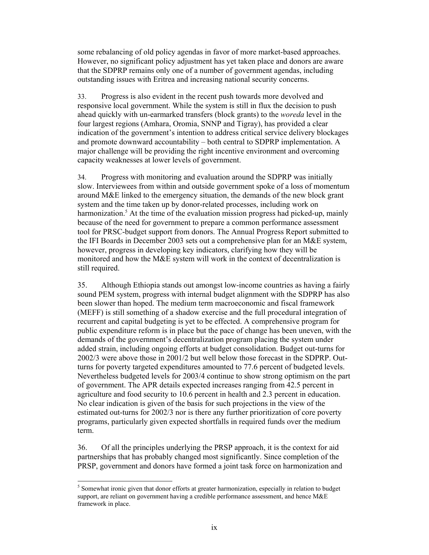some rebalancing of old policy agendas in favor of more market-based approaches. However, no significant policy adjustment has yet taken place and donors are aware that the SDPRP remains only one of a number of government agendas, including outstanding issues with Eritrea and increasing national security concerns.

33. Progress is also evident in the recent push towards more devolved and responsive local government. While the system is still in flux the decision to push ahead quickly with un-earmarked transfers (block grants) to the *woreda* level in the four largest regions (Amhara, Oromia, SNNP and Tigray), has provided a clear indication of the government's intention to address critical service delivery blockages and promote downward accountability – both central to SDPRP implementation. A major challenge will be providing the right incentive environment and overcoming capacity weaknesses at lower levels of government.

34. Progress with monitoring and evaluation around the SDPRP was initially slow. Interviewees from within and outside government spoke of a loss of momentum around M&E linked to the emergency situation, the demands of the new block grant system and the time taken up by donor-related processes, including work on harmonization.<sup>5</sup> At the time of the evaluation mission progress had picked-up, mainly because of the need for government to prepare a common performance assessment tool for PRSC-budget support from donors. The Annual Progress Report submitted to the IFI Boards in December 2003 sets out a comprehensive plan for an M&E system, however, progress in developing key indicators, clarifying how they will be monitored and how the M&E system will work in the context of decentralization is still required.

35. Although Ethiopia stands out amongst low-income countries as having a fairly sound PEM system, progress with internal budget alignment with the SDPRP has also been slower than hoped. The medium term macroeconomic and fiscal framework (MEFF) is still something of a shadow exercise and the full procedural integration of recurrent and capital budgeting is yet to be effected. A comprehensive program for public expenditure reform is in place but the pace of change has been uneven, with the demands of the government's decentralization program placing the system under added strain, including ongoing efforts at budget consolidation. Budget out-turns for 2002/3 were above those in 2001/2 but well below those forecast in the SDPRP. Outturns for poverty targeted expenditures amounted to 77.6 percent of budgeted levels. Nevertheless budgeted levels for 2003/4 continue to show strong optimism on the part of government. The APR details expected increases ranging from 42.5 percent in agriculture and food security to 10.6 percent in health and 2.3 percent in education. No clear indication is given of the basis for such projections in the view of the estimated out-turns for 2002/3 nor is there any further prioritization of core poverty programs, particularly given expected shortfalls in required funds over the medium term.

36. Of all the principles underlying the PRSP approach, it is the context for aid partnerships that has probably changed most significantly. Since completion of the PRSP, government and donors have formed a joint task force on harmonization and

<sup>&</sup>lt;sup>5</sup> Somewhat ironic given that donor efforts at greater harmonization, especially in relation to budget support, are reliant on government having a credible performance assessment, and hence M&E framework in place.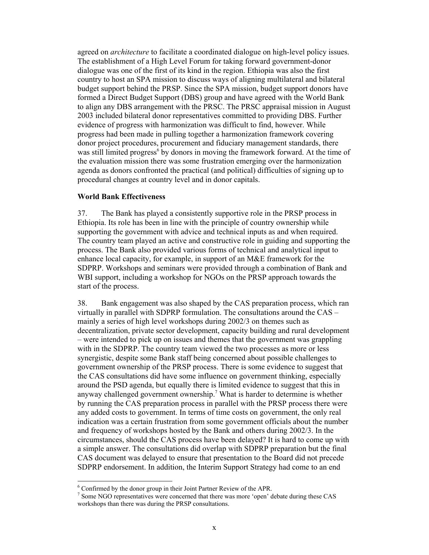agreed on *architecture* to facilitate a coordinated dialogue on high-level policy issues. The establishment of a High Level Forum for taking forward government-donor dialogue was one of the first of its kind in the region. Ethiopia was also the first country to host an SPA mission to discuss ways of aligning multilateral and bilateral budget support behind the PRSP. Since the SPA mission, budget support donors have formed a Direct Budget Support (DBS) group and have agreed with the World Bank to align any DBS arrangement with the PRSC. The PRSC appraisal mission in August 2003 included bilateral donor representatives committed to providing DBS. Further evidence of progress with harmonization was difficult to find, however. While progress had been made in pulling together a harmonization framework covering donor project procedures, procurement and fiduciary management standards, there was still limited progress<sup>6</sup> by donors in moving the framework forward. At the time of the evaluation mission there was some frustration emerging over the harmonization agenda as donors confronted the practical (and political) difficulties of signing up to procedural changes at country level and in donor capitals.

### **World Bank Effectiveness**

37. The Bank has played a consistently supportive role in the PRSP process in Ethiopia. Its role has been in line with the principle of country ownership while supporting the government with advice and technical inputs as and when required. The country team played an active and constructive role in guiding and supporting the process. The Bank also provided various forms of technical and analytical input to enhance local capacity, for example, in support of an M&E framework for the SDPRP. Workshops and seminars were provided through a combination of Bank and WBI support, including a workshop for NGOs on the PRSP approach towards the start of the process.

38. Bank engagement was also shaped by the CAS preparation process, which ran virtually in parallel with SDPRP formulation. The consultations around the CAS – mainly a series of high level workshops during 2002/3 on themes such as decentralization, private sector development, capacity building and rural development – were intended to pick up on issues and themes that the government was grappling with in the SDPRP. The country team viewed the two processes as more or less synergistic, despite some Bank staff being concerned about possible challenges to government ownership of the PRSP process. There is some evidence to suggest that the CAS consultations did have some influence on government thinking, especially around the PSD agenda, but equally there is limited evidence to suggest that this in anyway challenged government ownership.7 What is harder to determine is whether by running the CAS preparation process in parallel with the PRSP process there were any added costs to government. In terms of time costs on government, the only real indication was a certain frustration from some government officials about the number and frequency of workshops hosted by the Bank and others during 2002/3. In the circumstances, should the CAS process have been delayed? It is hard to come up with a simple answer. The consultations did overlap with SDPRP preparation but the final CAS document was delayed to ensure that presentation to the Board did not precede SDPRP endorsement. In addition, the Interim Support Strategy had come to an end

<sup>&</sup>lt;sup>6</sup> Confirmed by the donor group in their Joint Partner Review of the APR.

<sup>&</sup>lt;sup>7</sup> Some NGO representatives were concerned that there was more 'open' debate during these CAS workshops than there was during the PRSP consultations.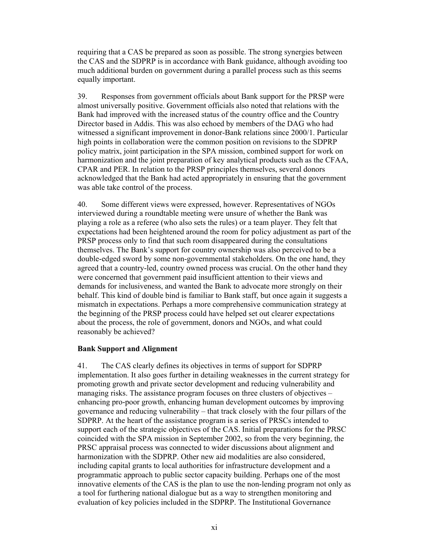requiring that a CAS be prepared as soon as possible. The strong synergies between the CAS and the SDPRP is in accordance with Bank guidance, although avoiding too much additional burden on government during a parallel process such as this seems equally important.

39. Responses from government officials about Bank support for the PRSP were almost universally positive. Government officials also noted that relations with the Bank had improved with the increased status of the country office and the Country Director based in Addis. This was also echoed by members of the DAG who had witnessed a significant improvement in donor-Bank relations since 2000/1. Particular high points in collaboration were the common position on revisions to the SDPRP policy matrix, joint participation in the SPA mission, combined support for work on harmonization and the joint preparation of key analytical products such as the CFAA, CPAR and PER. In relation to the PRSP principles themselves, several donors acknowledged that the Bank had acted appropriately in ensuring that the government was able take control of the process.

40. Some different views were expressed, however. Representatives of NGOs interviewed during a roundtable meeting were unsure of whether the Bank was playing a role as a referee (who also sets the rules) or a team player. They felt that expectations had been heightened around the room for policy adjustment as part of the PRSP process only to find that such room disappeared during the consultations themselves. The Bank's support for country ownership was also perceived to be a double-edged sword by some non-governmental stakeholders. On the one hand, they agreed that a country-led, country owned process was crucial. On the other hand they were concerned that government paid insufficient attention to their views and demands for inclusiveness, and wanted the Bank to advocate more strongly on their behalf. This kind of double bind is familiar to Bank staff, but once again it suggests a mismatch in expectations. Perhaps a more comprehensive communication strategy at the beginning of the PRSP process could have helped set out clearer expectations about the process, the role of government, donors and NGOs, and what could reasonably be achieved?

### **Bank Support and Alignment**

41. The CAS clearly defines its objectives in terms of support for SDPRP implementation. It also goes further in detailing weaknesses in the current strategy for promoting growth and private sector development and reducing vulnerability and managing risks. The assistance program focuses on three clusters of objectives – enhancing pro-poor growth, enhancing human development outcomes by improving governance and reducing vulnerability – that track closely with the four pillars of the SDPRP. At the heart of the assistance program is a series of PRSCs intended to support each of the strategic objectives of the CAS. Initial preparations for the PRSC coincided with the SPA mission in September 2002, so from the very beginning, the PRSC appraisal process was connected to wider discussions about alignment and harmonization with the SDPRP. Other new aid modalities are also considered, including capital grants to local authorities for infrastructure development and a programmatic approach to public sector capacity building. Perhaps one of the most innovative elements of the CAS is the plan to use the non-lending program not only as a tool for furthering national dialogue but as a way to strengthen monitoring and evaluation of key policies included in the SDPRP. The Institutional Governance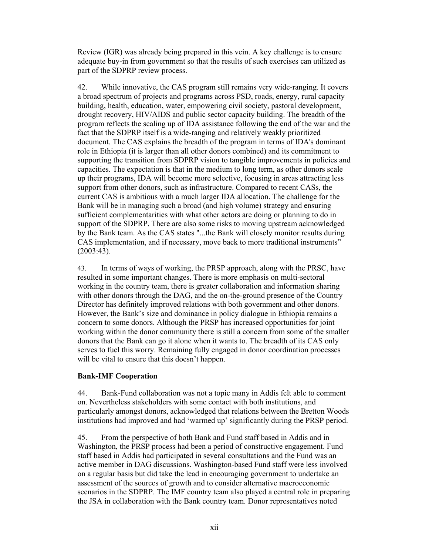Review (IGR) was already being prepared in this vein. A key challenge is to ensure adequate buy-in from government so that the results of such exercises can utilized as part of the SDPRP review process.

42. While innovative, the CAS program still remains very wide-ranging. It covers a broad spectrum of projects and programs across PSD, roads, energy, rural capacity building, health, education, water, empowering civil society, pastoral development, drought recovery, HIV/AIDS and public sector capacity building. The breadth of the program reflects the scaling up of IDA assistance following the end of the war and the fact that the SDPRP itself is a wide-ranging and relatively weakly prioritized document. The CAS explains the breadth of the program in terms of IDA's dominant role in Ethiopia (it is larger than all other donors combined) and its commitment to supporting the transition from SDPRP vision to tangible improvements in policies and capacities. The expectation is that in the medium to long term, as other donors scale up their programs, IDA will become more selective, focusing in areas attracting less support from other donors, such as infrastructure. Compared to recent CASs, the current CAS is ambitious with a much larger IDA allocation. The challenge for the Bank will be in managing such a broad (and high volume) strategy and ensuring sufficient complementarities with what other actors are doing or planning to do in support of the SDPRP. There are also some risks to moving upstream acknowledged by the Bank team. As the CAS states "...the Bank will closely monitor results during CAS implementation, and if necessary, move back to more traditional instruments" (2003:43).

43. In terms of ways of working, the PRSP approach, along with the PRSC, have resulted in some important changes. There is more emphasis on multi-sectoral working in the country team, there is greater collaboration and information sharing with other donors through the DAG, and the on-the-ground presence of the Country Director has definitely improved relations with both government and other donors. However, the Bank's size and dominance in policy dialogue in Ethiopia remains a concern to some donors. Although the PRSP has increased opportunities for joint working within the donor community there is still a concern from some of the smaller donors that the Bank can go it alone when it wants to. The breadth of its CAS only serves to fuel this worry. Remaining fully engaged in donor coordination processes will be vital to ensure that this doesn't happen.

### **Bank-IMF Cooperation**

44. Bank-Fund collaboration was not a topic many in Addis felt able to comment on. Nevertheless stakeholders with some contact with both institutions, and particularly amongst donors, acknowledged that relations between the Bretton Woods institutions had improved and had 'warmed up' significantly during the PRSP period.

45. From the perspective of both Bank and Fund staff based in Addis and in Washington, the PRSP process had been a period of constructive engagement. Fund staff based in Addis had participated in several consultations and the Fund was an active member in DAG discussions. Washington-based Fund staff were less involved on a regular basis but did take the lead in encouraging government to undertake an assessment of the sources of growth and to consider alternative macroeconomic scenarios in the SDPRP. The IMF country team also played a central role in preparing the JSA in collaboration with the Bank country team. Donor representatives noted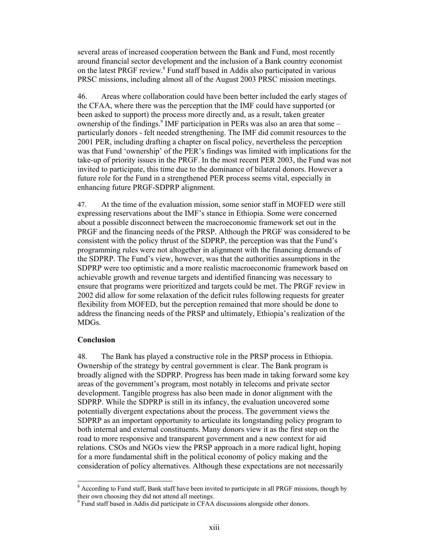several areas of increased cooperation between the Bank and Fund, most recently around financial sector development and the inclusion of a Bank country economist on the latest PRGF review.<sup>8</sup> Fund staff based in Addis also participated in various PRSC missions, including almost all of the August 2003 PRSC mission meetings.

46. Areas where collaboration could have been better included the early stages of the CFAA, where there was the perception that the IMF could have supported (or been asked to support) the process more directly and, as a result, taken greater ownership of the findings.<sup>9</sup> IMF participation in PERs was also an area that some  $$ particularly donors - felt needed strengthening. The IMF did commit resources to the 2001 PER, including drafting a chapter on fiscal policy, nevertheless the perception was that Fund 'ownership' of the PER's findings was limited with implications for the take-up of priority issues in the PRGF. In the most recent PER 2003, the Fund was not invited to participate, this time due to the dominance of bilateral donors. However a future role for the Fund in a strengthened PER process seems vital, especially in enhancing future PRGF-SDPRP alignment.

47. At the time of the evaluation mission, some senior staff in MOFED were still expressing reservations about the IMF's stance in Ethiopia. Some were concerned about a possible disconnect between the macroeconomic framework set out in the PRGF and the financing needs of the PRSP. Although the PRGF was considered to be consistent with the policy thrust of the SDPRP, the perception was that the Fund's programming rules were not altogether in alignment with the financing demands of the SDPRP. The Fund's view, however, was that the authorities assumptions in the SDPRP were too optimistic and a more realistic macroeconomic framework based on achievable growth and revenue targets and identified financing was necessary to ensure that programs were prioritized and targets could be met. The PRGF review in 2002 did allow for some relaxation of the deficit rules following requests for greater flexibility from MOFED, but the perception remained that more should be done to address the financing needs of the PRSP and ultimately, Ethiopia's realization of the MDGs.

### **Conclusion**

l

48. The Bank has played a constructive role in the PRSP process in Ethiopia. Ownership of the strategy by central government is clear. The Bank program is broadly aligned with the SDPRP. Progress has been made in taking forward some key areas of the government's program, most notably in telecoms and private sector development. Tangible progress has also been made in donor alignment with the SDPRP. While the SDPRP is still in its infancy, the evaluation uncovered some potentially divergent expectations about the process. The government views the SDPRP as an important opportunity to articulate its longstanding policy program to both internal and external constituents. Many donors view it as the first step on the road to more responsive and transparent government and a new context for aid relations. CSOs and NGOs view the PRSP approach in a more radical light, hoping for a more fundamental shift in the political economy of policy making and the consideration of policy alternatives. Although these expectations are not necessarily

<sup>&</sup>lt;sup>8</sup> According to Fund staff, Bank staff have been invited to participate in all PRGF missions, though by their own choosing they did not attend all meetings.

<sup>&</sup>lt;sup>9</sup> Fund staff based in Addis did participate in CFAA discussions alongside other donors.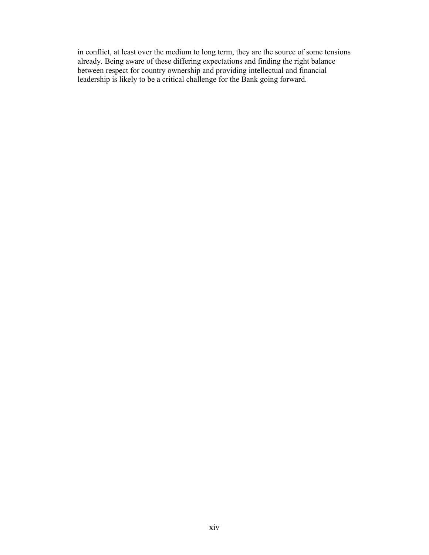in conflict, at least over the medium to long term, they are the source of some tensions already. Being aware of these differing expectations and finding the right balance between respect for country ownership and providing intellectual and financial leadership is likely to be a critical challenge for the Bank going forward.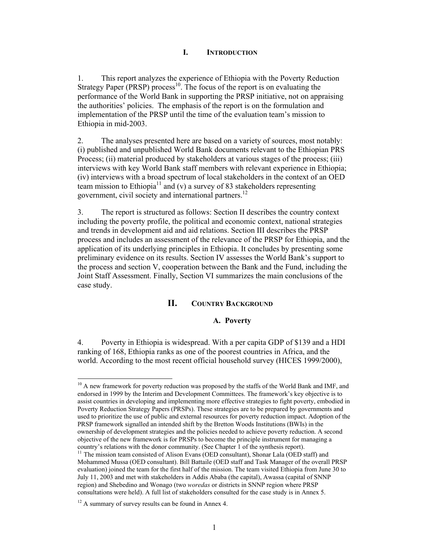### **I. INTRODUCTION**

1. This report analyzes the experience of Ethiopia with the Poverty Reduction Strategy Paper (PRSP) process<sup>10</sup>. The focus of the report is on evaluating the performance of the World Bank in supporting the PRSP initiative, not on appraising the authorities' policies. The emphasis of the report is on the formulation and implementation of the PRSP until the time of the evaluation team's mission to Ethiopia in mid-2003.

2. The analyses presented here are based on a variety of sources, most notably: (i) published and unpublished World Bank documents relevant to the Ethiopian PRS Process; (ii) material produced by stakeholders at various stages of the process; (iii) interviews with key World Bank staff members with relevant experience in Ethiopia; (iv) interviews with a broad spectrum of local stakeholders in the context of an OED team mission to Ethiopia<sup>11</sup> and (v) a survey of 83 stakeholders representing government, civil society and international partners.<sup>12</sup>

3. The report is structured as follows: Section II describes the country context including the poverty profile, the political and economic context, national strategies and trends in development aid and aid relations. Section III describes the PRSP process and includes an assessment of the relevance of the PRSP for Ethiopia, and the application of its underlying principles in Ethiopia. It concludes by presenting some preliminary evidence on its results. Section IV assesses the World Bank's support to the process and section V, cooperation between the Bank and the Fund, including the Joint Staff Assessment. Finally, Section VI summarizes the main conclusions of the case study.

### **II. COUNTRY BACKGROUND**

#### **A. Poverty**

4. Poverty in Ethiopia is widespread. With a per capita GDP of \$139 and a HDI ranking of 168, Ethiopia ranks as one of the poorest countries in Africa, and the world. According to the most recent official household survey (HICES 1999/2000),

<sup>&</sup>lt;sup>10</sup> A new framework for poverty reduction was proposed by the staffs of the World Bank and IMF, and endorsed in 1999 by the Interim and Development Committees. The framework's key objective is to assist countries in developing and implementing more effective strategies to fight poverty, embodied in Poverty Reduction Strategy Papers (PRSPs). These strategies are to be prepared by governments and used to prioritize the use of public and external resources for poverty reduction impact. Adoption of the PRSP framework signalled an intended shift by the Bretton Woods Institutions (BWIs) in the ownership of development strategies and the policies needed to achieve poverty reduction. A second objective of the new framework is for PRSPs to become the principle instrument for managing a country's relations with the donor community. (See Chapter 1 of the synthesis report).

<sup>&</sup>lt;sup>11</sup> The mission team consisted of Alison Evans (OED consultant), Shonar Lala (OED staff) and Mohammed Mussa (OED consultant). Bill Battaile (OED staff and Task Manager of the overall PRSP evaluation) joined the team for the first half of the mission. The team visited Ethiopia from June 30 to July 11, 2003 and met with stakeholders in Addis Ababa (the capital), Awassa (capital of SNNP region) and Shebedino and Wonago (two *woredas* or districts in SNNP region where PRSP consultations were held). A full list of stakeholders consulted for the case study is in Annex 5.

<sup>&</sup>lt;sup>12</sup> A summary of survey results can be found in Annex 4.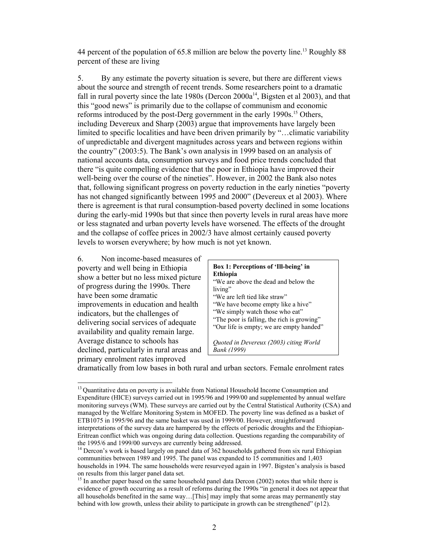44 percent of the population of 65.8 million are below the poverty line.<sup>13</sup> Roughly 88 percent of these are living

5. By any estimate the poverty situation is severe, but there are different views about the source and strength of recent trends. Some researchers point to a dramatic fall in rural poverty since the late 1980s (Dercon  $2000a^{14}$ , Bigsten et al 2003), and that this "good news" is primarily due to the collapse of communism and economic reforms introduced by the post-Derg government in the early 1990s.<sup>15</sup> Others, including Devereux and Sharp (2003) argue that improvements have largely been limited to specific localities and have been driven primarily by "…climatic variability of unpredictable and divergent magnitudes across years and between regions within the country" (2003:5). The Bank's own analysis in 1999 based on an analysis of national accounts data, consumption surveys and food price trends concluded that there "is quite compelling evidence that the poor in Ethiopia have improved their well-being over the course of the nineties". However, in 2002 the Bank also notes that, following significant progress on poverty reduction in the early nineties "poverty has not changed significantly between 1995 and 2000" (Devereux et al 2003). Where there is agreement is that rural consumption-based poverty declined in some locations during the early-mid 1990s but that since then poverty levels in rural areas have more or less stagnated and urban poverty levels have worsened. The effects of the drought and the collapse of coffee prices in 2002/3 have almost certainly caused poverty levels to worsen everywhere; by how much is not yet known.

6. Non income-based measures of poverty and well being in Ethiopia show a better but no less mixed picture of progress during the 1990s. There have been some dramatic improvements in education and health indicators, but the challenges of delivering social services of adequate availability and quality remain large. Average distance to schools has declined, particularly in rural areas and primary enrolment rates improved

l

| Box 1: Perceptions of 'Ill-being' in                                                                                                                                                                                                                                                                                                                                                                                   |
|------------------------------------------------------------------------------------------------------------------------------------------------------------------------------------------------------------------------------------------------------------------------------------------------------------------------------------------------------------------------------------------------------------------------|
| <b>Ethiopia</b>                                                                                                                                                                                                                                                                                                                                                                                                        |
| "We are above the dead and below the                                                                                                                                                                                                                                                                                                                                                                                   |
| living"                                                                                                                                                                                                                                                                                                                                                                                                                |
| "We are left tied like straw"                                                                                                                                                                                                                                                                                                                                                                                          |
| "We have become empty like a hive"                                                                                                                                                                                                                                                                                                                                                                                     |
| "We simply watch those who eat"                                                                                                                                                                                                                                                                                                                                                                                        |
| "The poor is falling, the rich is growing"                                                                                                                                                                                                                                                                                                                                                                             |
| "Our life is empty; we are empty handed"                                                                                                                                                                                                                                                                                                                                                                               |
|                                                                                                                                                                                                                                                                                                                                                                                                                        |
| $\alpha$ , $\alpha$ , $\alpha$ , $\alpha$ , $\alpha$ , $\alpha$ , $\alpha$ , $\alpha$ , $\alpha$ , $\alpha$ , $\alpha$ , $\alpha$ , $\alpha$ , $\alpha$ , $\alpha$ , $\alpha$ , $\alpha$ , $\alpha$ , $\alpha$ , $\alpha$ , $\alpha$ , $\alpha$ , $\alpha$ , $\alpha$ , $\alpha$ , $\alpha$ , $\alpha$ , $\alpha$ , $\alpha$ , $\alpha$ , $\alpha$ , $\alpha$ , $\alpha$ , $\alpha$ , $\alpha$ , $\alpha$ , $\alpha$ , |

*Quoted in Devereux (2003) citing World Bank (1999)*

dramatically from low bases in both rural and urban sectors. Female enrolment rates

<sup>&</sup>lt;sup>13</sup> Quantitative data on poverty is available from National Household Income Consumption and Expenditure (HICE) surveys carried out in 1995/96 and 1999/00 and supplemented by annual welfare monitoring surveys (WM). These surveys are carried out by the Central Statistical Authority (CSA) and managed by the Welfare Monitoring System in MOFED. The poverty line was defined as a basket of ETB1075 in 1995/96 and the same basket was used in 1999/00. However, straightforward interpretations of the survey data are hampered by the effects of periodic droughts and the Ethiopian-Eritrean conflict which was ongoing during data collection. Questions regarding the comparability of the 1995/6 and 1999/00 surveys are currently being addressed.

<sup>&</sup>lt;sup>14</sup> Dercon's work is based largely on panel data of 362 households gathered from six rural Ethiopian communities between 1989 and 1995. The panel was expanded to 15 communities and 1,403 households in 1994. The same households were resurveyed again in 1997. Bigsten's analysis is based on results from this larger panel data set.

<sup>&</sup>lt;sup>15</sup> In another paper based on the same household panel data Dercon (2002) notes that while there is evidence of growth occurring as a result of reforms during the 1990s "in general it does not appear that all households benefited in the same way…[This] may imply that some areas may permanently stay behind with low growth, unless their ability to participate in growth can be strengthened" (p12).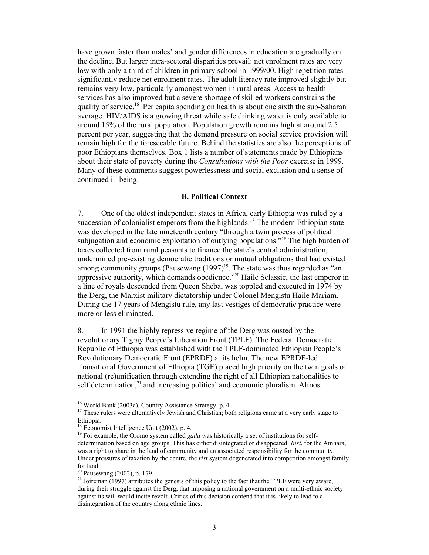have grown faster than males' and gender differences in education are gradually on the decline. But larger intra-sectoral disparities prevail: net enrolment rates are very low with only a third of children in primary school in 1999/00. High repetition rates significantly reduce net enrolment rates. The adult literacy rate improved slightly but remains very low, particularly amongst women in rural areas. Access to health services has also improved but a severe shortage of skilled workers constrains the quality of service.<sup>16</sup> Per capita spending on health is about one sixth the sub-Saharan average. HIV/AIDS is a growing threat while safe drinking water is only available to around 15% of the rural population. Population growth remains high at around 2.5 percent per year, suggesting that the demand pressure on social service provision will remain high for the foreseeable future. Behind the statistics are also the perceptions of poor Ethiopians themselves. Box 1 lists a number of statements made by Ethiopians about their state of poverty during the *Consultations with the Poor* exercise in 1999. Many of these comments suggest powerlessness and social exclusion and a sense of continued ill being.

### **B. Political Context**

7. One of the oldest independent states in Africa, early Ethiopia was ruled by a succession of colonialist emperors from the highlands.<sup>17</sup> The modern Ethiopian state was developed in the late nineteenth century "through a twin process of political subjugation and economic exploitation of outlying populations."18 The high burden of taxes collected from rural peasants to finance the state's central administration, undermined pre-existing democratic traditions or mutual obligations that had existed among community groups (Pausewang  $(1997)^{19}$ . The state was thus regarded as "an oppressive authority, which demands obedience."20 Haile Selassie, the last emperor in a line of royals descended from Queen Sheba, was toppled and executed in 1974 by the Derg, the Marxist military dictatorship under Colonel Mengistu Haile Mariam. During the 17 years of Mengistu rule, any last vestiges of democratic practice were more or less eliminated.

8. In 1991 the highly repressive regime of the Derg was ousted by the revolutionary Tigray People's Liberation Front (TPLF). The Federal Democratic Republic of Ethiopia was established with the TPLF-dominated Ethiopian People's Revolutionary Democratic Front (EPRDF) at its helm. The new EPRDF-led Transitional Government of Ethiopia (TGE) placed high priority on the twin goals of national (re)unification through extending the right of all Ethiopian nationalities to self determination,<sup>21</sup> and increasing political and economic pluralism. Almost

<sup>16</sup> World Bank (2003a), Country Assistance Strategy, p. 4.

<sup>&</sup>lt;sup>17</sup> These rulers were alternatively Jewish and Christian; both religions came at a very early stage to Ethiopia.

<sup>&</sup>lt;sup>18</sup> Economist Intelligence Unit (2002), p. 4.

<sup>&</sup>lt;sup>19</sup> For example, the Oromo system called *gada* was historically a set of institutions for selfdetermination based on age groups. This has either disintegrated or disappeared. *Rist*, for the Amhara, was a right to share in the land of community and an associated responsibility for the community. Under pressures of taxation by the centre, the *rist* system degenerated into competition amongst family for land.

<sup>20</sup> Pausewang (2002), p. 179.

<sup>&</sup>lt;sup>21</sup> Joireman (1997) attributes the genesis of this policy to the fact that the TPLF were very aware, during their struggle against the Derg, that imposing a national government on a multi-ethnic society against its will would incite revolt. Critics of this decision contend that it is likely to lead to a disintegration of the country along ethnic lines.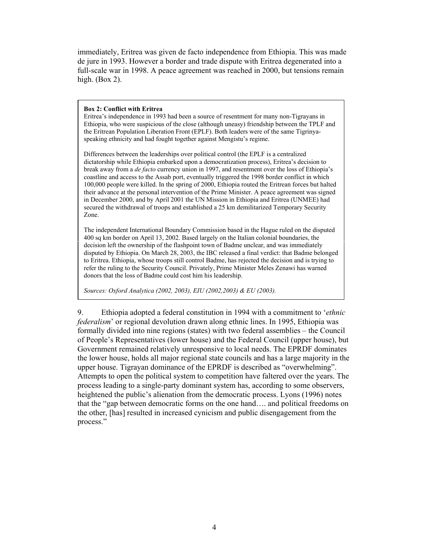immediately, Eritrea was given de facto independence from Ethiopia. This was made de jure in 1993. However a border and trade dispute with Eritrea degenerated into a full-scale war in 1998. A peace agreement was reached in 2000, but tensions remain high. (Box 2).

#### **Box 2: Conflict with Eritrea**

Eritrea's independence in 1993 had been a source of resentment for many non-Tigrayans in Ethiopia, who were suspicious of the close (although uneasy) friendship between the TPLF and the Eritrean Population Liberation Front (EPLF). Both leaders were of the same Tigrinyaspeaking ethnicity and had fought together against Mengistu's regime.

Differences between the leaderships over political control (the EPLF is a centralized dictatorship while Ethiopia embarked upon a democratization process), Eritrea's decision to break away from a *de facto* currency union in 1997, and resentment over the loss of Ethiopia's coastline and access to the Assab port, eventually triggered the 1998 border conflict in which 100,000 people were killed. In the spring of 2000, Ethiopia routed the Eritrean forces but halted their advance at the personal intervention of the Prime Minister. A peace agreement was signed in December 2000, and by April 2001 the UN Mission in Ethiopia and Eritrea (UNMEE) had secured the withdrawal of troops and established a 25 km demilitarized Temporary Security Zone.

The independent International Boundary Commission based in the Hague ruled on the disputed 400 sq km border on April 13, 2002. Based largely on the Italian colonial boundaries, the decision left the ownership of the flashpoint town of Badme unclear, and was immediately disputed by Ethiopia. On March 28, 2003, the IBC released a final verdict: that Badme belonged to Eritrea. Ethiopia, whose troops still control Badme, has rejected the decision and is trying to refer the ruling to the Security Council. Privately, Prime Minister Meles Zenawi has warned donors that the loss of Badme could cost him his leadership.

*Sources: Oxford Analytica (2002, 2003), EIU (2002,2003) & EU (2003).* 

9. Ethiopia adopted a federal constitution in 1994 with a commitment to '*ethnic federalism*' or regional devolution drawn along ethnic lines. In 1995, Ethiopia was formally divided into nine regions (states) with two federal assemblies – the Council of People's Representatives (lower house) and the Federal Council (upper house), but Government remained relatively unresponsive to local needs. The EPRDF dominates the lower house, holds all major regional state councils and has a large majority in the upper house. Tigrayan dominance of the EPRDF is described as "overwhelming". Attempts to open the political system to competition have faltered over the years. The process leading to a single-party dominant system has, according to some observers, heightened the public's alienation from the democratic process. Lyons (1996) notes that the "gap between democratic forms on the one hand…. and political freedoms on the other, [has] resulted in increased cynicism and public disengagement from the process."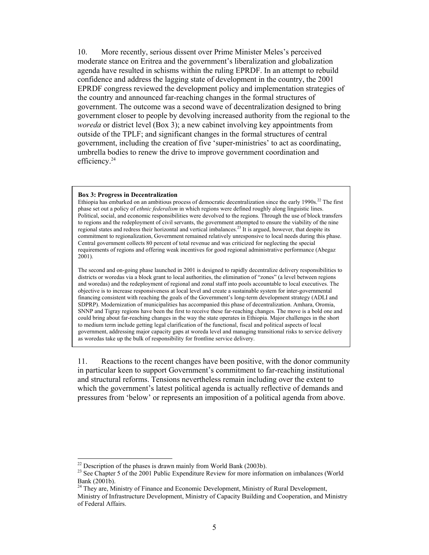10. More recently, serious dissent over Prime Minister Meles's perceived moderate stance on Eritrea and the government's liberalization and globalization agenda have resulted in schisms within the ruling EPRDF. In an attempt to rebuild confidence and address the lagging state of development in the country, the 2001 EPRDF congress reviewed the development policy and implementation strategies of the country and announced far-reaching changes in the formal structures of government. The outcome was a second wave of decentralization designed to bring government closer to people by devolving increased authority from the regional to the *woreda* or district level (Box 3); a new cabinet involving key appointments from outside of the TPLF; and significant changes in the formal structures of central government, including the creation of five 'super-ministries' to act as coordinating, umbrella bodies to renew the drive to improve government coordination and efficiency.<sup>24</sup>

#### **Box 3: Progress in Decentralization**

Ethiopia has embarked on an ambitious process of democratic decentralization since the early  $1990s<sup>22</sup>$ . The first phase set out a policy of *ethnic federalism* in which regions were defined roughly along linguistic lines. Political, social, and economic responsibilities were devolved to the regions. Through the use of block transfers to regions and the redeployment of civil servants, the government attempted to ensure the viability of the nine regional states and redress their horizontal and vertical imbalances.<sup>23</sup> It is argued, however, that despite its regional states and redress their horizontal and vertical imbalances.<sup>23</sup> It is argued, however, that despi commitment to regionalization, Government remained relatively unresponsive to local needs during this phase. Central government collects 80 percent of total revenue and was criticized for neglecting the special requirements of regions and offering weak incentives for good regional administrative performance (Abegaz 2001).

The second and on-going phase launched in 2001 is designed to rapidly decentralize delivery responsibilities to districts or woredas via a block grant to local authorities, the elimination of "zones" (a level between regions and woredas) and the redeployment of regional and zonal staff into pools accountable to local executives. The objective is to increase responsiveness at local level and create a sustainable system for inter-governmental financing consistent with reaching the goals of the Government's long-term development strategy (ADLI and SDPRP). Modernization of municipalities has accompanied this phase of decentralization. Amhara, Oromia, SNNP and Tigray regions have been the first to receive these far-reaching changes. The move is a bold one and could bring about far-reaching changes in the way the state operates in Ethiopia. Major challenges in the short to medium term include getting legal clarification of the functional, fiscal and political aspects of local government, addressing major capacity gaps at woreda level and managing transitional risks to service delivery as woredas take up the bulk of responsibility for frontline service delivery.

11. Reactions to the recent changes have been positive, with the donor community in particular keen to support Government's commitment to far-reaching institutional and structural reforms. Tensions nevertheless remain including over the extent to which the government's latest political agenda is actually reflective of demands and pressures from 'below' or represents an imposition of a political agenda from above.

 $22$  Description of the phases is drawn mainly from World Bank (2003b).

<sup>&</sup>lt;sup>23</sup> See Chapter 5 of the 2001 Public Expenditure Review for more information on imbalances (World Bank (2001b).

<sup>24</sup> They are, Ministry of Finance and Economic Development, Ministry of Rural Development,

Ministry of Infrastructure Development, Ministry of Capacity Building and Cooperation, and Ministry of Federal Affairs.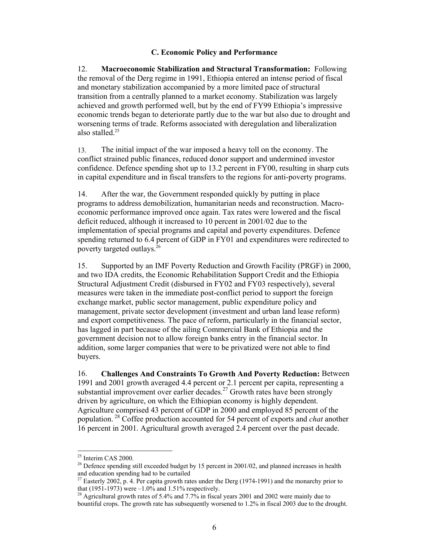### **C. Economic Policy and Performance**

12. **Macroeconomic Stabilization and Structural Transformation:** Following the removal of the Derg regime in 1991, Ethiopia entered an intense period of fiscal and monetary stabilization accompanied by a more limited pace of structural transition from a centrally planned to a market economy. Stabilization was largely achieved and growth performed well, but by the end of FY99 Ethiopia's impressive economic trends began to deteriorate partly due to the war but also due to drought and worsening terms of trade. Reforms associated with deregulation and liberalization also stalled.25

13. The initial impact of the war imposed a heavy toll on the economy. The conflict strained public finances, reduced donor support and undermined investor confidence. Defence spending shot up to 13.2 percent in FY00, resulting in sharp cuts in capital expenditure and in fiscal transfers to the regions for anti-poverty programs.

14. After the war, the Government responded quickly by putting in place programs to address demobilization, humanitarian needs and reconstruction. Macroeconomic performance improved once again. Tax rates were lowered and the fiscal deficit reduced, although it increased to 10 percent in 2001/02 due to the implementation of special programs and capital and poverty expenditures. Defence spending returned to 6.4 percent of GDP in FY01 and expenditures were redirected to poverty targeted outlays.26

15. Supported by an IMF Poverty Reduction and Growth Facility (PRGF) in 2000, and two IDA credits, the Economic Rehabilitation Support Credit and the Ethiopia Structural Adjustment Credit (disbursed in FY02 and FY03 respectively), several measures were taken in the immediate post-conflict period to support the foreign exchange market, public sector management, public expenditure policy and management, private sector development (investment and urban land lease reform) and export competitiveness. The pace of reform, particularly in the financial sector, has lagged in part because of the ailing Commercial Bank of Ethiopia and the government decision not to allow foreign banks entry in the financial sector. In addition, some larger companies that were to be privatized were not able to find buyers.

16. **Challenges And Constraints To Growth And Poverty Reduction:** Between 1991 and 2001 growth averaged 4.4 percent or 2.1 percent per capita, representing a substantial improvement over earlier decades.<sup>27</sup> Growth rates have been strongly driven by agriculture, on which the Ethiopian economy is highly dependent. Agriculture comprised 43 percent of GDP in 2000 and employed 85 percent of the population. 28 Coffee production accounted for 54 percent of exports and *chat* another 16 percent in 2001. Agricultural growth averaged 2.4 percent over the past decade.

 $25$  Interim CAS 2000.

 $26$  Defence spending still exceeded budget by 15 percent in 2001/02, and planned increases in health and education spending had to be curtailed

<sup>&</sup>lt;sup>27</sup> Easterly 2002, p. 4. Per capita growth rates under the Derg (1974-1991) and the monarchy prior to that (1951-1973) were  $-1.0\%$  and 1.51% respectively.

<sup>&</sup>lt;sup>28</sup> Agricultural growth rates of 5.4% and 7.7% in fiscal years 2001 and 2002 were mainly due to bountiful crops. The growth rate has subsequently worsened to 1.2% in fiscal 2003 due to the drought.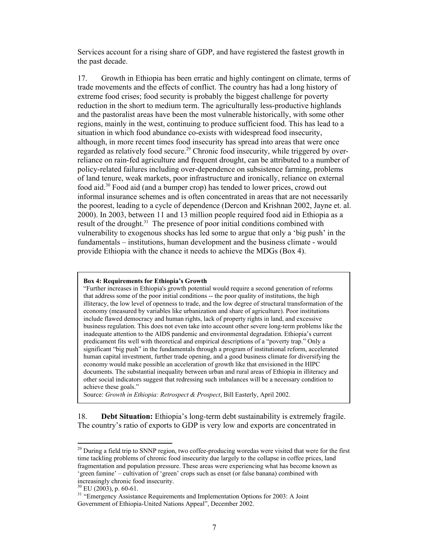Services account for a rising share of GDP, and have registered the fastest growth in the past decade.

17. Growth in Ethiopia has been erratic and highly contingent on climate, terms of trade movements and the effects of conflict. The country has had a long history of extreme food crises; food security is probably the biggest challenge for poverty reduction in the short to medium term. The agriculturally less-productive highlands and the pastoralist areas have been the most vulnerable historically, with some other regions, mainly in the west, continuing to produce sufficient food. This has lead to a situation in which food abundance co-exists with widespread food insecurity, although, in more recent times food insecurity has spread into areas that were once regarded as relatively food secure.<sup>29</sup> Chronic food insecurity, while triggered by overreliance on rain-fed agriculture and frequent drought, can be attributed to a number of policy-related failures including over-dependence on subsistence farming, problems of land tenure, weak markets, poor infrastructure and ironically, reliance on external food aid.30 Food aid (and a bumper crop) has tended to lower prices, crowd out informal insurance schemes and is often concentrated in areas that are not necessarily the poorest, leading to a cycle of dependence (Dercon and Krishnan 2002, Jayne et. al. 2000). In 2003, between 11 and 13 million people required food aid in Ethiopia as a result of the drought. $31$  The presence of poor initial conditions combined with vulnerability to exogenous shocks has led some to argue that only a 'big push' in the fundamentals – institutions, human development and the business climate - would provide Ethiopia with the chance it needs to achieve the MDGs (Box 4).

#### **Box 4: Requirements for Ethiopia's Growth**

"Further increases in Ethiopia's growth potential would require a second generation of reforms that address some of the poor initial conditions -- the poor quality of institutions, the high illiteracy, the low level of openness to trade, and the low degree of structural transformation of the economy (measured by variables like urbanization and share of agriculture). Poor institutions include flawed democracy and human rights, lack of property rights in land, and excessive business regulation. This does not even take into account other severe long-term problems like the inadequate attention to the AIDS pandemic and environmental degradation. Ethiopia's current predicament fits well with theoretical and empirical descriptions of a "poverty trap." Only a significant "big push" in the fundamentals through a program of institutional reform, accelerated human capital investment, further trade opening, and a good business climate for diversifying the economy would make possible an acceleration of growth like that envisioned in the HIPC documents. The substantial inequality between urban and rural areas of Ethiopia in illiteracy and other social indicators suggest that redressing such imbalances will be a necessary condition to achieve these goals."

Source: *Growth in Ethiopia: Retrospect & Prospect*, Bill Easterly, April 2002.

18. **Debt Situation:** Ethiopia's long-term debt sustainability is extremely fragile. The country's ratio of exports to GDP is very low and exports are concentrated in

<sup>&</sup>lt;sup>29</sup> During a field trip to SNNP region, two coffee-producing woredas were visited that were for the first time tackling problems of chronic food insecurity due largely to the collapse in coffee prices, land fragmentation and population pressure. These areas were experiencing what has become known as 'green famine' – cultivation of 'green' crops such as enset (or false banana) combined with increasingly chronic food insecurity.

 $30$  EU (2003), p. 60-61.

<sup>&</sup>lt;sup>31</sup> "Emergency Assistance Requirements and Implementation Options for 2003: A Joint Government of Ethiopia-United Nations Appeal", December 2002.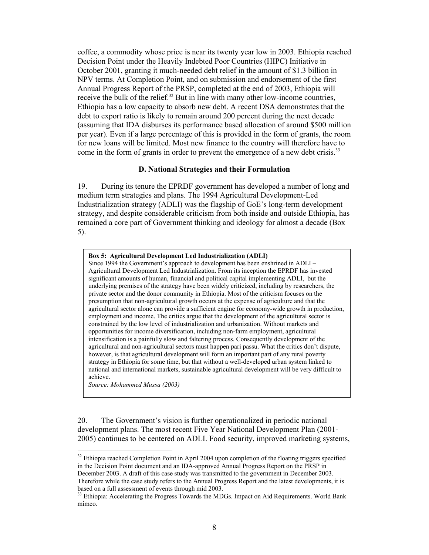coffee, a commodity whose price is near its twenty year low in 2003. Ethiopia reached Decision Point under the Heavily Indebted Poor Countries (HIPC) Initiative in October 2001, granting it much-needed debt relief in the amount of \$1.3 billion in NPV terms. At Completion Point, and on submission and endorsement of the first Annual Progress Report of the PRSP, completed at the end of 2003, Ethiopia will receive the bulk of the relief.<sup>32</sup> But in line with many other low-income countries, Ethiopia has a low capacity to absorb new debt. A recent DSA demonstrates that the debt to export ratio is likely to remain around 200 percent during the next decade (assuming that IDA disburses its performance based allocation of around \$500 million per year). Even if a large percentage of this is provided in the form of grants, the room for new loans will be limited. Most new finance to the country will therefore have to come in the form of grants in order to prevent the emergence of a new debt crisis.<sup>33</sup>

#### **D. National Strategies and their Formulation**

19. During its tenure the EPRDF government has developed a number of long and medium term strategies and plans. The 1994 Agricultural Development-Led Industrialization strategy (ADLI) was the flagship of GoE's long-term development strategy, and despite considerable criticism from both inside and outside Ethiopia, has remained a core part of Government thinking and ideology for almost a decade (Box 5).

#### **Box 5: Agricultural Development Led Industrialization (ADLI)**

Since 1994 the Government's approach to development has been enshrined in ADLI – Agricultural Development Led Industrialization. From its inception the EPRDF has invested significant amounts of human, financial and political capital implementing ADLI, but the underlying premises of the strategy have been widely criticized, including by researchers, the private sector and the donor community in Ethiopia. Most of the criticism focuses on the presumption that non-agricultural growth occurs at the expense of agriculture and that the agricultural sector alone can provide a sufficient engine for economy-wide growth in production, employment and income. The critics argue that the development of the agricultural sector is constrained by the low level of industrialization and urbanization. Without markets and opportunities for income diversification, including non-farm employment, agricultural intensification is a painfully slow and faltering process. Consequently development of the agricultural and non-agricultural sectors must happen pari passu. What the critics don't dispute, however, is that agricultural development will form an important part of any rural poverty strategy in Ethiopia for some time, but that without a well-developed urban system linked to national and international markets, sustainable agricultural development will be very difficult to achieve.

*Source: Mohammed Mussa (2003)*

l

20. The Government's vision is further operationalized in periodic national development plans. The most recent Five Year National Development Plan (2001- 2005) continues to be centered on ADLI. Food security, improved marketing systems,

 $32$  Ethiopia reached Completion Point in April 2004 upon completion of the floating triggers specified in the Decision Point document and an IDA-approved Annual Progress Report on the PRSP in December 2003. A draft of this case study was transmitted to the government in December 2003. Therefore while the case study refers to the Annual Progress Report and the latest developments, it is

based on a full assessment of events through mid 2003.

<sup>&</sup>lt;sup>33</sup> Ethiopia: Accelerating the Progress Towards the MDGs. Impact on Aid Requirements. World Bank mimeo.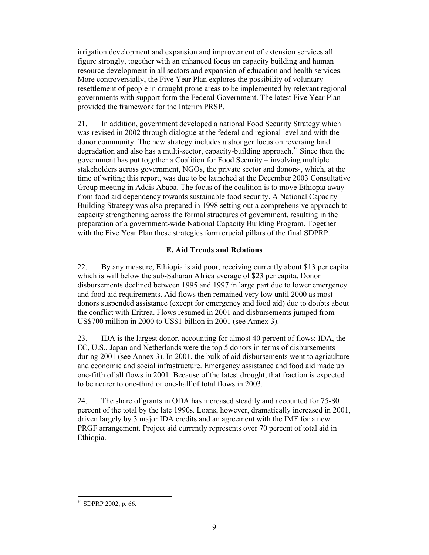irrigation development and expansion and improvement of extension services all figure strongly, together with an enhanced focus on capacity building and human resource development in all sectors and expansion of education and health services. More controversially, the Five Year Plan explores the possibility of voluntary resettlement of people in drought prone areas to be implemented by relevant regional governments with support form the Federal Government. The latest Five Year Plan provided the framework for the Interim PRSP.

21. In addition, government developed a national Food Security Strategy which was revised in 2002 through dialogue at the federal and regional level and with the donor community. The new strategy includes a stronger focus on reversing land degradation and also has a multi-sector, capacity-building approach.<sup>34</sup> Since then the government has put together a Coalition for Food Security – involving multiple stakeholders across government, NGOs, the private sector and donors-, which, at the time of writing this report, was due to be launched at the December 2003 Consultative Group meeting in Addis Ababa. The focus of the coalition is to move Ethiopia away from food aid dependency towards sustainable food security. A National Capacity Building Strategy was also prepared in 1998 setting out a comprehensive approach to capacity strengthening across the formal structures of government, resulting in the preparation of a government-wide National Capacity Building Program. Together with the Five Year Plan these strategies form crucial pillars of the final SDPRP.

### **E. Aid Trends and Relations**

22. By any measure, Ethiopia is aid poor, receiving currently about \$13 per capita which is will below the sub-Saharan Africa average of \$23 per capita. Donor disbursements declined between 1995 and 1997 in large part due to lower emergency and food aid requirements. Aid flows then remained very low until 2000 as most donors suspended assistance (except for emergency and food aid) due to doubts about the conflict with Eritrea. Flows resumed in 2001 and disbursements jumped from US\$700 million in 2000 to US\$1 billion in 2001 (see Annex 3).

23. IDA is the largest donor, accounting for almost 40 percent of flows; IDA, the EC, U.S., Japan and Netherlands were the top 5 donors in terms of disbursements during 2001 (see Annex 3). In 2001, the bulk of aid disbursements went to agriculture and economic and social infrastructure. Emergency assistance and food aid made up one-fifth of all flows in 2001. Because of the latest drought, that fraction is expected to be nearer to one-third or one-half of total flows in 2003.

24. The share of grants in ODA has increased steadily and accounted for 75-80 percent of the total by the late 1990s. Loans, however, dramatically increased in 2001, driven largely by 3 major IDA credits and an agreement with the IMF for a new PRGF arrangement. Project aid currently represents over 70 percent of total aid in Ethiopia.

l <sup>34</sup> SDPRP 2002, p. 66.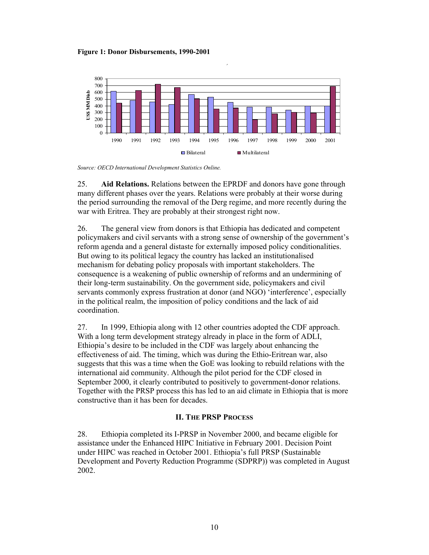**Figure 1: Donor Disbursements, 1990-2001** 



**,**

*Source: OECD International Development Statistics Online.* 

25. **Aid Relations.** Relations between the EPRDF and donors have gone through many different phases over the years. Relations were probably at their worse during the period surrounding the removal of the Derg regime, and more recently during the war with Eritrea. They are probably at their strongest right now.

26. The general view from donors is that Ethiopia has dedicated and competent policymakers and civil servants with a strong sense of ownership of the government's reform agenda and a general distaste for externally imposed policy conditionalities. But owing to its political legacy the country has lacked an institutionalised mechanism for debating policy proposals with important stakeholders. The consequence is a weakening of public ownership of reforms and an undermining of their long-term sustainability. On the government side, policymakers and civil servants commonly express frustration at donor (and NGO) 'interference', especially in the political realm, the imposition of policy conditions and the lack of aid coordination.

27. In 1999, Ethiopia along with 12 other countries adopted the CDF approach. With a long term development strategy already in place in the form of ADLI, Ethiopia's desire to be included in the CDF was largely about enhancing the effectiveness of aid. The timing, which was during the Ethio-Eritrean war, also suggests that this was a time when the GoE was looking to rebuild relations with the international aid community. Although the pilot period for the CDF closed in September 2000, it clearly contributed to positively to government-donor relations. Together with the PRSP process this has led to an aid climate in Ethiopia that is more constructive than it has been for decades.

### **II. THE PRSP PROCESS**

28. Ethiopia completed its I-PRSP in November 2000, and became eligible for assistance under the Enhanced HIPC Initiative in February 2001. Decision Point under HIPC was reached in October 2001. Ethiopia's full PRSP (Sustainable Development and Poverty Reduction Programme (SDPRP)) was completed in August 2002.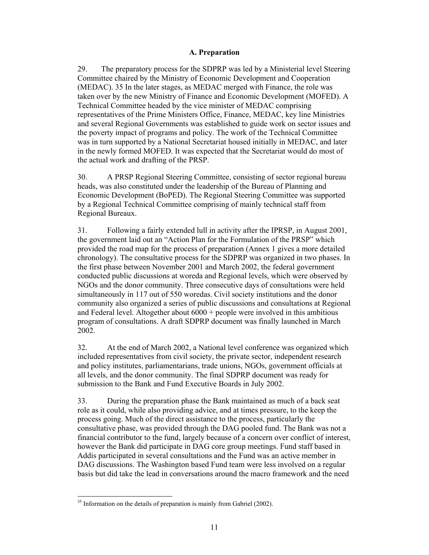### **A. Preparation**

29. The preparatory process for the SDPRP was led by a Ministerial level Steering Committee chaired by the Ministry of Economic Development and Cooperation (MEDAC). 35 In the later stages, as MEDAC merged with Finance, the role was taken over by the new Ministry of Finance and Economic Development (MOFED). A Technical Committee headed by the vice minister of MEDAC comprising representatives of the Prime Ministers Office, Finance, MEDAC, key line Ministries and several Regional Governments was established to guide work on sector issues and the poverty impact of programs and policy. The work of the Technical Committee was in turn supported by a National Secretariat housed initially in MEDAC, and later in the newly formed MOFED. It was expected that the Secretariat would do most of the actual work and drafting of the PRSP.

30. A PRSP Regional Steering Committee, consisting of sector regional bureau heads, was also constituted under the leadership of the Bureau of Planning and Economic Development (BoPED). The Regional Steering Committee was supported by a Regional Technical Committee comprising of mainly technical staff from Regional Bureaux.

31. Following a fairly extended lull in activity after the IPRSP, in August 2001, the government laid out an "Action Plan for the Formulation of the PRSP" which provided the road map for the process of preparation (Annex 1 gives a more detailed chronology). The consultative process for the SDPRP was organized in two phases. In the first phase between November 2001 and March 2002, the federal government conducted public discussions at woreda and Regional levels, which were observed by NGOs and the donor community. Three consecutive days of consultations were held simultaneously in 117 out of 550 woredas. Civil society institutions and the donor community also organized a series of public discussions and consultations at Regional and Federal level. Altogether about  $6000 +$  people were involved in this ambitious program of consultations. A draft SDPRP document was finally launched in March 2002.

32. At the end of March 2002, a National level conference was organized which included representatives from civil society, the private sector, independent research and policy institutes, parliamentarians, trade unions, NGOs, government officials at all levels, and the donor community. The final SDPRP document was ready for submission to the Bank and Fund Executive Boards in July 2002.

33. During the preparation phase the Bank maintained as much of a back seat role as it could, while also providing advice, and at times pressure, to the keep the process going. Much of the direct assistance to the process, particularly the consultative phase, was provided through the DAG pooled fund. The Bank was not a financial contributor to the fund, largely because of a concern over conflict of interest, however the Bank did participate in DAG core group meetings. Fund staff based in Addis participated in several consultations and the Fund was an active member in DAG discussions. The Washington based Fund team were less involved on a regular basis but did take the lead in conversations around the macro framework and the need

 $35$  Information on the details of preparation is mainly from Gabriel (2002).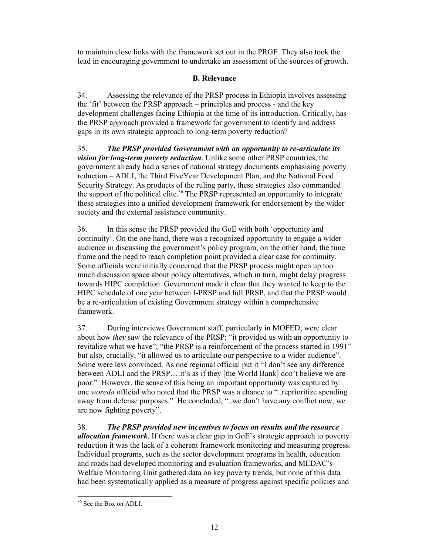to maintain close links with the framework set out in the PRGF. They also took the lead in encouraging government to undertake an assessment of the sources of growth.

### **B. Relevance**

34. Assessing the relevance of the PRSP process in Ethiopia involves assessing the 'fit' between the PRSP approach – principles and process - and the key development challenges facing Ethiopia at the time of its introduction. Critically, has the PRSP approach provided a framework for government to identify and address gaps in its own strategic approach to long-term poverty reduction?

35. *The PRSP provided Government with an opportunity to re-articulate its vision for long-term poverty reduction*. Unlike some other PRSP countries, the government already had a series of national strategy documents emphasising poverty reduction – ADLI, the Third FiveYear Development Plan, and the National Food Security Strategy. As products of the ruling party, these strategies also commanded the support of the political elite.<sup>36</sup> The PRSP represented an opportunity to integrate these strategies into a unified development framework for endorsement by the wider society and the external assistance community.

36. In this sense the PRSP provided the GoE with both 'opportunity and continuity'. On the one hand, there was a recognized opportunity to engage a wider audience in discussing the government's policy program, on the other hand, the time frame and the need to reach completion point provided a clear case for continuity. Some officials were initially concerned that the PRSP process might open up too much discussion space about policy alternatives, which in turn, might delay progress towards HIPC completion. Government made it clear that they wanted to keep to the HIPC schedule of one year between I-PRSP and full PRSP, and that the PRSP would be a re-articulation of existing Government strategy within a comprehensive framework.

37. During interviews Government staff, particularly in MOFED, were clear about how *they* saw the relevance of the PRSP; "it provided us with an opportunity to revitalize what we have"; "the PRSP is a reinforcement of the process started in 1991" but also, crucially, "it allowed us to articulate our perspective to a wider audience". Some were less convinced. As one regional official put it "I don't see any difference between ADLI and the PRSP….it's as if they [the World Bank] don't believe we are poor." However, the sense of this being an important opportunity was captured by one *woreda* official who noted that the PRSP was a chance to "..reprioritize spending away from defense purposes." He concluded, "..we don't have any conflict now, we are now fighting poverty".

38. *The PRSP provided new incentives to focus on results and the resource allocation framework*. If there was a clear gap in GoE's strategic approach to poverty reduction it was the lack of a coherent framework monitoring and measuring progress. Individual programs, such as the sector development programs in health, education and roads had developed monitoring and evaluation frameworks, and MEDAC's Welfare Monitoring Unit gathered data on key poverty trends, but none of this data had been systematically applied as a measure of progress against specific policies and

<sup>&</sup>lt;sup>36</sup> See the Box on ADLI.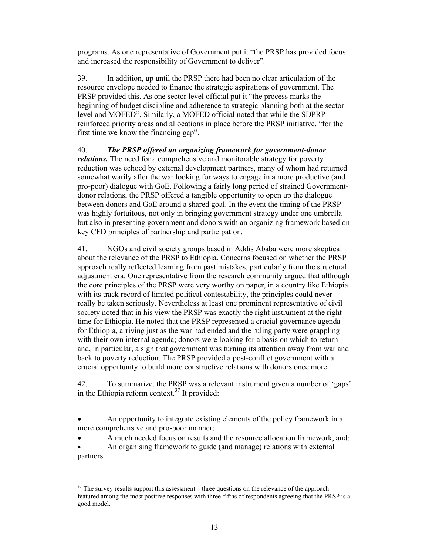programs. As one representative of Government put it "the PRSP has provided focus and increased the responsibility of Government to deliver".

39. In addition, up until the PRSP there had been no clear articulation of the resource envelope needed to finance the strategic aspirations of government. The PRSP provided this. As one sector level official put it "the process marks the beginning of budget discipline and adherence to strategic planning both at the sector level and MOFED". Similarly, a MOFED official noted that while the SDPRP reinforced priority areas and allocations in place before the PRSP initiative, "for the first time we know the financing gap".

40. *The PRSP offered an organizing framework for government-donor relations*. The need for a comprehensive and monitorable strategy for poverty reduction was echoed by external development partners, many of whom had returned somewhat warily after the war looking for ways to engage in a more productive (and pro-poor) dialogue with GoE. Following a fairly long period of strained Governmentdonor relations, the PRSP offered a tangible opportunity to open up the dialogue between donors and GoE around a shared goal. In the event the timing of the PRSP was highly fortuitous, not only in bringing government strategy under one umbrella but also in presenting government and donors with an organizing framework based on key CFD principles of partnership and participation.

41. NGOs and civil society groups based in Addis Ababa were more skeptical about the relevance of the PRSP to Ethiopia. Concerns focused on whether the PRSP approach really reflected learning from past mistakes, particularly from the structural adjustment era. One representative from the research community argued that although the core principles of the PRSP were very worthy on paper, in a country like Ethiopia with its track record of limited political contestability, the principles could never really be taken seriously. Nevertheless at least one prominent representative of civil society noted that in his view the PRSP was exactly the right instrument at the right time for Ethiopia. He noted that the PRSP represented a crucial governance agenda for Ethiopia, arriving just as the war had ended and the ruling party were grappling with their own internal agenda; donors were looking for a basis on which to return and, in particular, a sign that government was turning its attention away from war and back to poverty reduction. The PRSP provided a post-conflict government with a crucial opportunity to build more constructive relations with donors once more.

42. To summarize, the PRSP was a relevant instrument given a number of 'gaps' in the Ethiopia reform context.<sup>37</sup> It provided:

• An opportunity to integrate existing elements of the policy framework in a more comprehensive and pro-poor manner;

• A much needed focus on results and the resource allocation framework, and;

• An organising framework to guide (and manage) relations with external partners

l  $37$  The survey results support this assessment – three questions on the relevance of the approach featured among the most positive responses with three-fifths of respondents agreeing that the PRSP is a good model.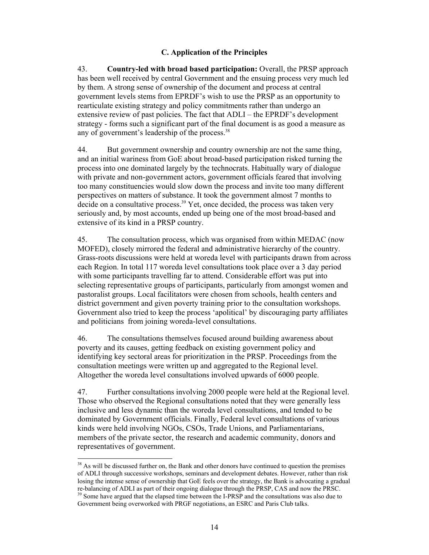### **C. Application of the Principles**

43. **Country-led with broad based participation:** Overall, the PRSP approach has been well received by central Government and the ensuing process very much led by them. A strong sense of ownership of the document and process at central government levels stems from EPRDF's wish to use the PRSP as an opportunity to rearticulate existing strategy and policy commitments rather than undergo an extensive review of past policies. The fact that ADLI – the EPRDF's development strategy - forms such a significant part of the final document is as good a measure as any of government's leadership of the process.<sup>38</sup>

44. But government ownership and country ownership are not the same thing, and an initial wariness from GoE about broad-based participation risked turning the process into one dominated largely by the technocrats. Habitually wary of dialogue with private and non-government actors, government officials feared that involving too many constituencies would slow down the process and invite too many different perspectives on matters of substance. It took the government almost 7 months to decide on a consultative process. $39$  Yet, once decided, the process was taken very seriously and, by most accounts, ended up being one of the most broad-based and extensive of its kind in a PRSP country.

45. The consultation process, which was organised from within MEDAC (now MOFED), closely mirrored the federal and administrative hierarchy of the country. Grass-roots discussions were held at woreda level with participants drawn from across each Region. In total 117 woreda level consultations took place over a 3 day period with some participants travelling far to attend. Considerable effort was put into selecting representative groups of participants, particularly from amongst women and pastoralist groups. Local facilitators were chosen from schools, health centers and district government and given poverty training prior to the consultation workshops. Government also tried to keep the process 'apolitical' by discouraging party affiliates and politicians from joining woreda-level consultations.

46. The consultations themselves focused around building awareness about poverty and its causes, getting feedback on existing government policy and identifying key sectoral areas for prioritization in the PRSP. Proceedings from the consultation meetings were written up and aggregated to the Regional level. Altogether the woreda level consultations involved upwards of 6000 people.

47. Further consultations involving 2000 people were held at the Regional level. Those who observed the Regional consultations noted that they were generally less inclusive and less dynamic than the woreda level consultations, and tended to be dominated by Government officials. Finally, Federal level consultations of various kinds were held involving NGOs, CSOs, Trade Unions, and Parliamentarians, members of the private sector, the research and academic community, donors and representatives of government.

 $\overline{\phantom{a}}$ <sup>38</sup> As will be discussed further on, the Bank and other donors have continued to question the premises of ADLI through successive workshops, seminars and development debates. However, rather than risk losing the intense sense of ownership that GoE feels over the strategy, the Bank is advocating a gradual re-balancing of ADLI as part of their ongoing dialogue through the PRSP, CAS and now the PRSC. <sup>39</sup> Some have argued that the elapsed time between the I-PRSP and the consultations was also due to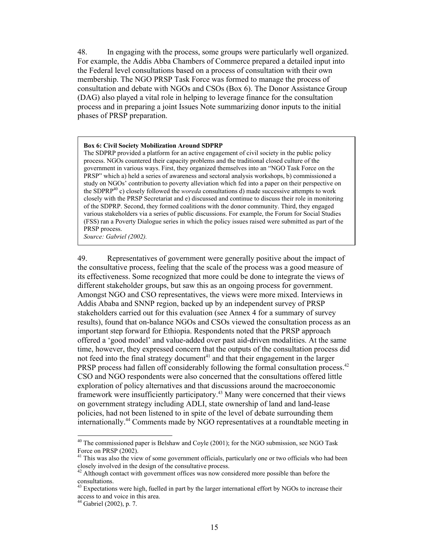48. In engaging with the process, some groups were particularly well organized. For example, the Addis Abba Chambers of Commerce prepared a detailed input into the Federal level consultations based on a process of consultation with their own membership. The NGO PRSP Task Force was formed to manage the process of consultation and debate with NGOs and CSOs (Box 6). The Donor Assistance Group (DAG) also played a vital role in helping to leverage finance for the consultation process and in preparing a joint Issues Note summarizing donor inputs to the initial phases of PRSP preparation.

#### **Box 6: Civil Society Mobilization Around SDPRP**

The SDPRP provided a platform for an active engagement of civil society in the public policy process. NGOs countered their capacity problems and the traditional closed culture of the government in various ways. First, they organized themselves into an "NGO Task Force on the PRSP" which a) held a series of awareness and sectoral analysis workshops, b) commissioned a study on NGOs' contribution to poverty alleviation which fed into a paper on their perspective on the SDPRP40 c) closely followed the *woreda* consultations d) made successive attempts to work closely with the PRSP Secretariat and e) discussed and continue to discuss their role in monitoring of the SDPRP. Second, they formed coalitions with the donor community. Third, they engaged various stakeholders via a series of public discussions. For example, the Forum for Social Studies (FSS) ran a Poverty Dialogue series in which the policy issues raised were submitted as part of the PRSP process.

*Source: Gabriel (2002).* 

49. Representatives of government were generally positive about the impact of the consultative process, feeling that the scale of the process was a good measure of its effectiveness. Some recognized that more could be done to integrate the views of different stakeholder groups, but saw this as an ongoing process for government. Amongst NGO and CSO representatives, the views were more mixed. Interviews in Addis Ababa and SNNP region, backed up by an independent survey of PRSP stakeholders carried out for this evaluation (see Annex 4 for a summary of survey results), found that on-balance NGOs and CSOs viewed the consultation process as an important step forward for Ethiopia. Respondents noted that the PRSP approach offered a 'good model' and value-added over past aid-driven modalities. At the same time, however, they expressed concern that the outputs of the consultation process did not feed into the final strategy document<sup>41</sup> and that their engagement in the larger PRSP process had fallen off considerably following the formal consultation process.<sup>42</sup> CSO and NGO respondents were also concerned that the consultations offered little exploration of policy alternatives and that discussions around the macroeconomic framework were insufficiently participatory.43 Many were concerned that their views on government strategy including ADLI, state ownership of land and land-lease policies, had not been listened to in spite of the level of debate surrounding them internationally.44 Comments made by NGO representatives at a roundtable meeting in

 $\overline{\phantom{a}}$ 

<sup>&</sup>lt;sup>40</sup> The commissioned paper is Belshaw and Coyle (2001); for the NGO submission, see NGO Task Force on PRSP (2002).

<sup>&</sup>lt;sup>41</sup> This was also the view of some government officials, particularly one or two officials who had been closely involved in the design of the consultative process.

<sup>&</sup>lt;sup>42</sup> Although contact with government offices was now considered more possible than before the consultations.

Expectations were high, fuelled in part by the larger international effort by NGOs to increase their access to and voice in this area.

 $44$  Gabriel (2002), p. 7.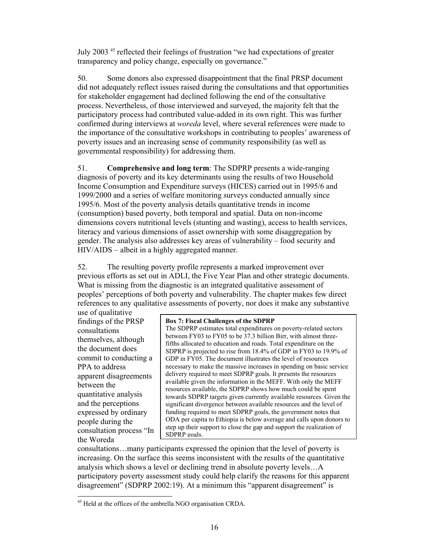July 2003 45 reflected their feelings of frustration "we had expectations of greater transparency and policy change, especially on governance."

50. Some donors also expressed disappointment that the final PRSP document did not adequately reflect issues raised during the consultations and that opportunities for stakeholder engagement had declined following the end of the consultative process. Nevertheless, of those interviewed and surveyed, the majority felt that the participatory process had contributed value-added in its own right. This was further confirmed during interviews at *woreda* level, where several references were made to the importance of the consultative workshops in contributing to peoples' awareness of poverty issues and an increasing sense of community responsibility (as well as governmental responsibility) for addressing them.

51. **Comprehensive and long term**: The SDPRP presents a wide-ranging diagnosis of poverty and its key determinants using the results of two Household Income Consumption and Expenditure surveys (HICES) carried out in 1995/6 and 1999/2000 and a series of welfare monitoring surveys conducted annually since 1995/6. Most of the poverty analysis details quantitative trends in income (consumption) based poverty, both temporal and spatial. Data on non-income dimensions covers nutritional levels (stunting and wasting), access to health services, literacy and various dimensions of asset ownership with some disaggregation by gender. The analysis also addresses key areas of vulnerability – food security and HIV/AIDS – albeit in a highly aggregated manner.

52. The resulting poverty profile represents a marked improvement over previous efforts as set out in ADLI, the Five Year Plan and other strategic documents. What is missing from the diagnostic is an integrated qualitative assessment of peoples' perceptions of both poverty and vulnerability. The chapter makes few direct references to any qualitative assessments of poverty, nor does it make any substantive

use of qualitative findings of the PRSP consultations themselves, although the document does commit to conducting a PPA to address apparent disagreements between the quantitative analysis and the perceptions expressed by ordinary people during the consultation process "In the Woreda

 $\overline{\phantom{a}}$ 

#### **Box 7: Fiscal Challenges of the SDPRP**

The SDPRP estimates total expenditures on poverty-related sectors between FY03 to FY05 to be 37.3 billion Birr, with almost threefifths allocated to education and roads. Total expenditure on the SDPRP is projected to rise from 18.4% of GDP in FY03 to 19.9% of GDP in FY05. The document illustrates the level of resources necessary to make the massive increases in spending on basic service delivery required to meet SDPRP goals. It presents the resources available given the information in the MEFF. With only the MEFF resources available, the SDPRP shows how much could be spent towards SDPRP targets given currently available resources. Given the significant divergence between available resources and the level of funding required to meet SDPRP goals, the government notes that ODA per capita to Ethiopia is below average and calls upon donors to step up their support to close the gap and support the realization of SDPRP goals.

consultations…many participants expressed the opinion that the level of poverty is increasing. On the surface this seems inconsistent with the results of the quantitative analysis which shows a level or declining trend in absolute poverty levels…A participatory poverty assessment study could help clarify the reasons for this apparent disagreement" (SDPRP 2002:19). At a minimum this "apparent disagreement" is

 $45$  Held at the offices of the umbrella NGO organisation CRDA.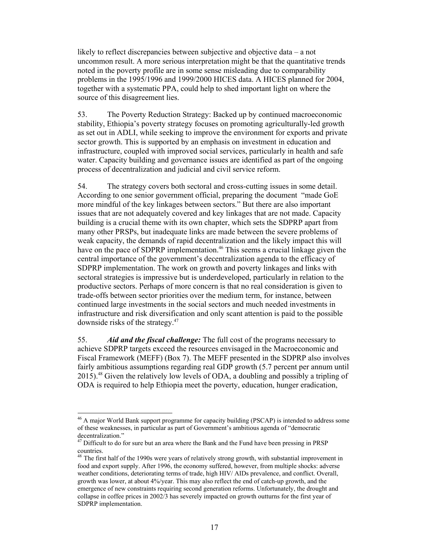likely to reflect discrepancies between subjective and objective data – a not uncommon result. A more serious interpretation might be that the quantitative trends noted in the poverty profile are in some sense misleading due to comparability problems in the 1995/1996 and 1999/2000 HICES data. A HICES planned for 2004, together with a systematic PPA, could help to shed important light on where the source of this disagreement lies.

53. The Poverty Reduction Strategy: Backed up by continued macroeconomic stability, Ethiopia's poverty strategy focuses on promoting agriculturally-led growth as set out in ADLI, while seeking to improve the environment for exports and private sector growth. This is supported by an emphasis on investment in education and infrastructure, coupled with improved social services, particularly in health and safe water. Capacity building and governance issues are identified as part of the ongoing process of decentralization and judicial and civil service reform.

54. The strategy covers both sectoral and cross-cutting issues in some detail. According to one senior government official, preparing the document "made GoE more mindful of the key linkages between sectors." But there are also important issues that are not adequately covered and key linkages that are not made. Capacity building is a crucial theme with its own chapter, which sets the SDPRP apart from many other PRSPs, but inadequate links are made between the severe problems of weak capacity, the demands of rapid decentralization and the likely impact this will have on the pace of SDPRP implementation.<sup>46</sup> This seems a crucial linkage given the central importance of the government's decentralization agenda to the efficacy of SDPRP implementation. The work on growth and poverty linkages and links with sectoral strategies is impressive but is underdeveloped, particularly in relation to the productive sectors. Perhaps of more concern is that no real consideration is given to trade-offs between sector priorities over the medium term, for instance, between continued large investments in the social sectors and much needed investments in infrastructure and risk diversification and only scant attention is paid to the possible downside risks of the strategy.47

55. *Aid and the fiscal challenge:* The full cost of the programs necessary to achieve SDPRP targets exceed the resources envisaged in the Macroeconomic and Fiscal Framework (MEFF) (Box 7). The MEFF presented in the SDPRP also involves fairly ambitious assumptions regarding real GDP growth (5.7 percent per annum until 2015).48 Given the relatively low levels of ODA, a doubling and possibly a tripling of ODA is required to help Ethiopia meet the poverty, education, hunger eradication,

 $\overline{a}$ 

<sup>&</sup>lt;sup>46</sup> A major World Bank support programme for capacity building (PSCAP) is intended to address some of these weaknesses, in particular as part of Government's ambitious agenda of "democratic decentralization."

<sup>&</sup>lt;sup>47</sup> Difficult to do for sure but an area where the Bank and the Fund have been pressing in PRSP countries.

<sup>&</sup>lt;sup>48</sup> The first half of the 1990s were years of relatively strong growth, with substantial improvement in food and export supply. After 1996, the economy suffered, however, from multiple shocks: adverse weather conditions, deteriorating terms of trade, high HIV/ AIDs prevalence, and conflict. Overall, growth was lower, at about 4%/year. This may also reflect the end of catch-up growth, and the emergence of new constraints requiring second generation reforms. Unfortunately, the drought and collapse in coffee prices in 2002/3 has severely impacted on growth outturns for the first year of SDPRP implementation.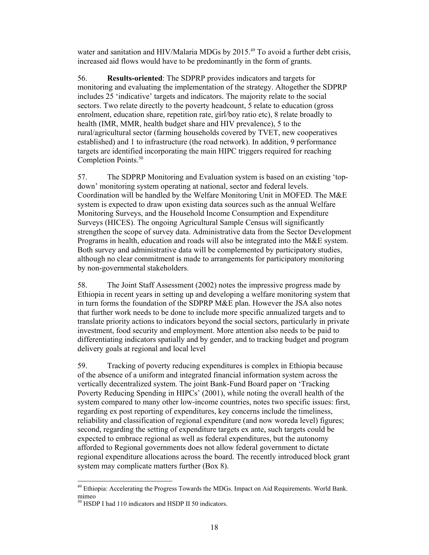water and sanitation and HIV/Malaria MDGs by 2015.<sup>49</sup> To avoid a further debt crisis, increased aid flows would have to be predominantly in the form of grants.

56. **Results-oriented**: The SDPRP provides indicators and targets for monitoring and evaluating the implementation of the strategy. Altogether the SDPRP includes 25 'indicative' targets and indicators. The majority relate to the social sectors. Two relate directly to the poverty headcount, 5 relate to education (gross enrolment, education share, repetition rate, girl/boy ratio etc), 8 relate broadly to health (IMR, MMR, health budget share and HIV prevalence), 5 to the rural/agricultural sector (farming households covered by TVET, new cooperatives established) and 1 to infrastructure (the road network). In addition, 9 performance targets are identified incorporating the main HIPC triggers required for reaching Completion Points.<sup>50</sup>

57. The SDPRP Monitoring and Evaluation system is based on an existing 'topdown' monitoring system operating at national, sector and federal levels. Coordination will be handled by the Welfare Monitoring Unit in MOFED. The M&E system is expected to draw upon existing data sources such as the annual Welfare Monitoring Surveys, and the Household Income Consumption and Expenditure Surveys (HICES). The ongoing Agricultural Sample Census will significantly strengthen the scope of survey data. Administrative data from the Sector Development Programs in health, education and roads will also be integrated into the M&E system. Both survey and administrative data will be complemented by participatory studies, although no clear commitment is made to arrangements for participatory monitoring by non-governmental stakeholders.

58. The Joint Staff Assessment (2002) notes the impressive progress made by Ethiopia in recent years in setting up and developing a welfare monitoring system that in turn forms the foundation of the SDPRP M&E plan. However the JSA also notes that further work needs to be done to include more specific annualized targets and to translate priority actions to indicators beyond the social sectors, particularly in private investment, food security and employment. More attention also needs to be paid to differentiating indicators spatially and by gender, and to tracking budget and program delivery goals at regional and local level

59. Tracking of poverty reducing expenditures is complex in Ethiopia because of the absence of a uniform and integrated financial information system across the vertically decentralized system. The joint Bank-Fund Board paper on 'Tracking Poverty Reducing Spending in HIPCs' (2001), while noting the overall health of the system compared to many other low-income countries, notes two specific issues: first, regarding ex post reporting of expenditures, key concerns include the timeliness, reliability and classification of regional expenditure (and now woreda level) figures; second, regarding the setting of expenditure targets ex ante, such targets could be expected to embrace regional as well as federal expenditures, but the autonomy afforded to Regional governments does not allow federal government to dictate regional expenditure allocations across the board. The recently introduced block grant system may complicate matters further (Box 8).

 $\overline{\phantom{a}}$ 

<sup>&</sup>lt;sup>49</sup> Ethiopia: Accelerating the Progress Towards the MDGs. Impact on Aid Requirements. World Bank. mimeo

<sup>50</sup> HSDP I had 110 indicators and HSDP II 50 indicators.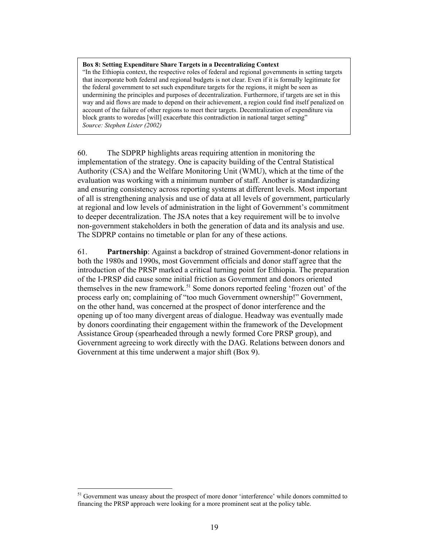**Box 8: Setting Expenditure Share Targets in a Decentralizing Context**  "In the Ethiopia context, the respective roles of federal and regional governments in setting targets that incorporate both federal and regional budgets is not clear. Even if it is formally legitimate for the federal government to set such expenditure targets for the regions, it might be seen as undermining the principles and purposes of decentralization. Furthermore, if targets are set in this way and aid flows are made to depend on their achievement, a region could find itself penalized on account of the failure of other regions to meet their targets. Decentralization of expenditure via block grants to woredas [will] exacerbate this contradiction in national target setting" *Source: Stephen Lister (2002)* 

60. The SDPRP highlights areas requiring attention in monitoring the implementation of the strategy. One is capacity building of the Central Statistical Authority (CSA) and the Welfare Monitoring Unit (WMU), which at the time of the evaluation was working with a minimum number of staff. Another is standardizing and ensuring consistency across reporting systems at different levels. Most important of all is strengthening analysis and use of data at all levels of government, particularly at regional and low levels of administration in the light of Government's commitment to deeper decentralization. The JSA notes that a key requirement will be to involve non-government stakeholders in both the generation of data and its analysis and use. The SDPRP contains no timetable or plan for any of these actions.

61. **Partnership**: Against a backdrop of strained Government-donor relations in both the 1980s and 1990s, most Government officials and donor staff agree that the introduction of the PRSP marked a critical turning point for Ethiopia. The preparation of the I-PRSP did cause some initial friction as Government and donors oriented themselves in the new framework.<sup>51</sup> Some donors reported feeling 'frozen out' of the process early on; complaining of "too much Government ownership!" Government, on the other hand, was concerned at the prospect of donor interference and the opening up of too many divergent areas of dialogue. Headway was eventually made by donors coordinating their engagement within the framework of the Development Assistance Group (spearheaded through a newly formed Core PRSP group), and Government agreeing to work directly with the DAG. Relations between donors and Government at this time underwent a major shift (Box 9).

 $\overline{\phantom{a}}$ 

<sup>&</sup>lt;sup>51</sup> Government was uneasy about the prospect of more donor 'interference' while donors committed to financing the PRSP approach were looking for a more prominent seat at the policy table.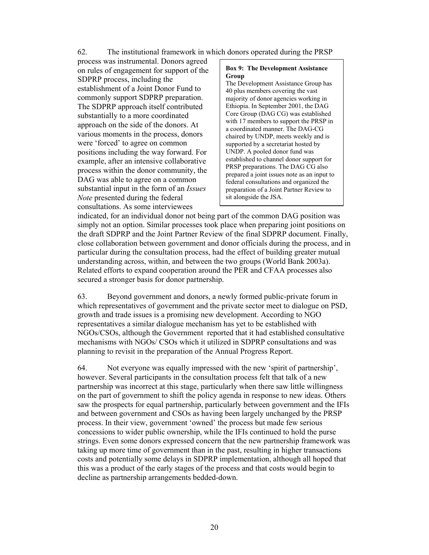### 62. The institutional framework in which donors operated during the PRSP

process was instrumental. Donors agreed on rules of engagement for support of the SDPRP process, including the establishment of a Joint Donor Fund to commonly support SDPRP preparation. The SDPRP approach itself contributed substantially to a more coordinated approach on the side of the donors. At various moments in the process, donors were 'forced' to agree on common positions including the way forward. For example, after an intensive collaborative process within the donor community, the DAG was able to agree on a common substantial input in the form of an *Issues Note* presented during the federal consultations. As some interviewees

#### **Box 9: The Development Assistance Group**

The Development Assistance Group has 40 plus members covering the vast majority of donor agencies working in Ethiopia. In September 2001, the DAG Core Group (DAG CG) was established with 17 members to support the PRSP in a coordinated manner. The DAG-CG chaired by UNDP, meets weekly and is supported by a secretariat hosted by UNDP. A pooled donor fund was established to channel donor support for PRSP preparations. The DAG CG also prepared a joint issues note as an input to federal consultations and organized the preparation of a Joint Partner Review to sit alongside the JSA.

indicated, for an individual donor not being part of the common DAG position was simply not an option. Similar processes took place when preparing joint positions on the draft SDPRP and the Joint Partner Review of the final SDPRP document. Finally, close collaboration between government and donor officials during the process, and in particular during the consultation process, had the effect of building greater mutual understanding across, within, and between the two groups (World Bank 2003a). Related efforts to expand cooperation around the PER and CFAA processes also secured a stronger basis for donor partnership.

63. Beyond government and donors, a newly formed public-private forum in which representatives of government and the private sector meet to dialogue on PSD, growth and trade issues is a promising new development. According to NGO representatives a similar dialogue mechanism has yet to be established with NGOs/CSOs, although the Government reported that it had established consultative mechanisms with NGOs/ CSOs which it utilized in SDPRP consultations and was planning to revisit in the preparation of the Annual Progress Report.

64. Not everyone was equally impressed with the new 'spirit of partnership', however. Several participants in the consultation process felt that talk of a new partnership was incorrect at this stage, particularly when there saw little willingness on the part of government to shift the policy agenda in response to new ideas. Others saw the prospects for equal partnership, particularly between government and the IFIs and between government and CSOs as having been largely unchanged by the PRSP process. In their view, government 'owned' the process but made few serious concessions to wider public ownership, while the IFIs continued to hold the purse strings. Even some donors expressed concern that the new partnership framework was taking up more time of government than in the past, resulting in higher transactions costs and potentially some delays in SDPRP implementation, although all hoped that this was a product of the early stages of the process and that costs would begin to decline as partnership arrangements bedded-down.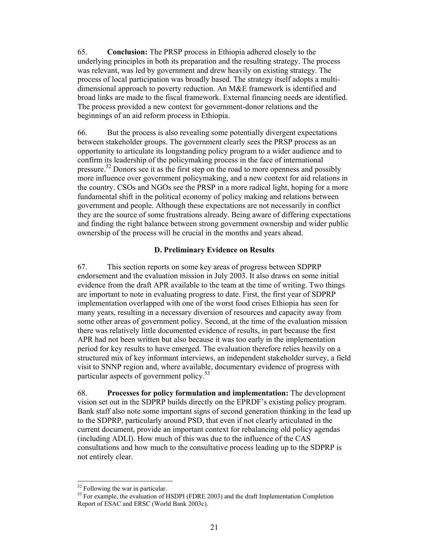65. **Conclusion:** The PRSP process in Ethiopia adhered closely to the underlying principles in both its preparation and the resulting strategy. The process was relevant, was led by government and drew heavily on existing strategy. The process of local participation was broadly based. The strategy itself adopts a multidimensional approach to poverty reduction. An M&E framework is identified and broad links are made to the fiscal framework. External financing needs are identified. The process provided a new context for government-donor relations and the beginnings of an aid reform process in Ethiopia.

66. But the process is also revealing some potentially divergent expectations between stakeholder groups. The government clearly sees the PRSP process as an opportunity to articulate its longstanding policy program to a wider audience and to confirm its leadership of the policymaking process in the face of international pressure.<sup>52</sup> Donors see it as the first step on the road to more openness and possibly more influence over government policymaking, and a new context for aid relations in the country. CSOs and NGOs see the PRSP in a more radical light, hoping for a more fundamental shift in the political economy of policy making and relations between government and people. Although these expectations are not necessarily in conflict they are the source of some frustrations already. Being aware of differing expectations and finding the right balance between strong government ownership and wider public ownership of the process will be crucial in the months and years ahead.

### **D. Preliminary Evidence on Results**

67. This section reports on some key areas of progress between SDPRP endorsement and the evaluation mission in July 2003. It also draws on some initial evidence from the draft APR available to the team at the time of writing. Two things are important to note in evaluating progress to date. First, the first year of SDPRP implementation overlapped with one of the worst food crises Ethiopia has seen for many years, resulting in a necessary diversion of resources and capacity away from some other areas of government policy. Second, at the time of the evaluation mission there was relatively little documented evidence of results, in part because the first APR had not been written but also because it was too early in the implementation period for key results to have emerged. The evaluation therefore relies heavily on a structured mix of key informant interviews, an independent stakeholder survey, a field visit to SNNP region and, where available, documentary evidence of progress with particular aspects of government policy. $53$ 

68. **Processes for policy formulation and implementation:** The development vision set out in the SDPRP builds directly on the EPRDF's existing policy program. Bank staff also note some important signs of second generation thinking in the lead up to the SDPRP, particularly around PSD, that even if not clearly articulated in the current document, provide an important context for rebalancing old policy agendas (including ADLI). How much of this was due to the influence of the CAS consultations and how much to the consultative process leading up to the SDPRP is not entirely clear.

 $\overline{\phantom{a}}$ 

<sup>&</sup>lt;sup>52</sup> Following the war in particular.

<sup>&</sup>lt;sup>53</sup> For example, the evaluation of HSDPI (FDRE 2003) and the draft Implementation Completion Report of ESAC and ERSC (World Bank 2003c).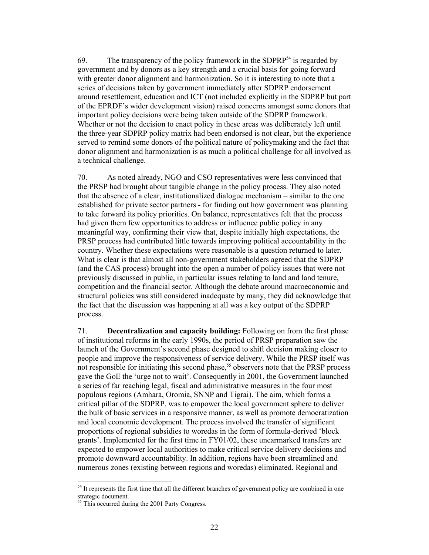69. The transparency of the policy framework in the SDPRP<sup>54</sup> is regarded by government and by donors as a key strength and a crucial basis for going forward with greater donor alignment and harmonization. So it is interesting to note that a series of decisions taken by government immediately after SDPRP endorsement around resettlement, education and ICT (not included explicitly in the SDPRP but part of the EPRDF's wider development vision) raised concerns amongst some donors that important policy decisions were being taken outside of the SDPRP framework. Whether or not the decision to enact policy in these areas was deliberately left until the three-year SDPRP policy matrix had been endorsed is not clear, but the experience served to remind some donors of the political nature of policymaking and the fact that donor alignment and harmonization is as much a political challenge for all involved as a technical challenge.

70. As noted already, NGO and CSO representatives were less convinced that the PRSP had brought about tangible change in the policy process. They also noted that the absence of a clear, institutionalized dialogue mechanism – similar to the one established for private sector partners - for finding out how government was planning to take forward its policy priorities. On balance, representatives felt that the process had given them few opportunities to address or influence public policy in any meaningful way, confirming their view that, despite initially high expectations, the PRSP process had contributed little towards improving political accountability in the country. Whether these expectations were reasonable is a question returned to later. What is clear is that almost all non-government stakeholders agreed that the SDPRP (and the CAS process) brought into the open a number of policy issues that were not previously discussed in public, in particular issues relating to land and land tenure, competition and the financial sector. Although the debate around macroeconomic and structural policies was still considered inadequate by many, they did acknowledge that the fact that the discussion was happening at all was a key output of the SDPRP process.

71. **Decentralization and capacity building:** Following on from the first phase of institutional reforms in the early 1990s, the period of PRSP preparation saw the launch of the Government's second phase designed to shift decision making closer to people and improve the responsiveness of service delivery. While the PRSP itself was not responsible for initiating this second phase,<sup>55</sup> observers note that the PRSP process gave the GoE the 'urge not to wait'. Consequently in 2001, the Government launched a series of far reaching legal, fiscal and administrative measures in the four most populous regions (Amhara, Oromia, SNNP and Tigrai). The aim, which forms a critical pillar of the SDPRP, was to empower the local government sphere to deliver the bulk of basic services in a responsive manner, as well as promote democratization and local economic development. The process involved the transfer of significant proportions of regional subsidies to woredas in the form of formula-derived 'block grants'. Implemented for the first time in FY01/02, these unearmarked transfers are expected to empower local authorities to make critical service delivery decisions and promote downward accountability. In addition, regions have been streamlined and numerous zones (existing between regions and woredas) eliminated. Regional and

 $\overline{\phantom{a}}$ 

<sup>&</sup>lt;sup>54</sup> It represents the first time that all the different branches of government policy are combined in one strategic document.

<sup>&</sup>lt;sup>55</sup> This occurred during the 2001 Party Congress.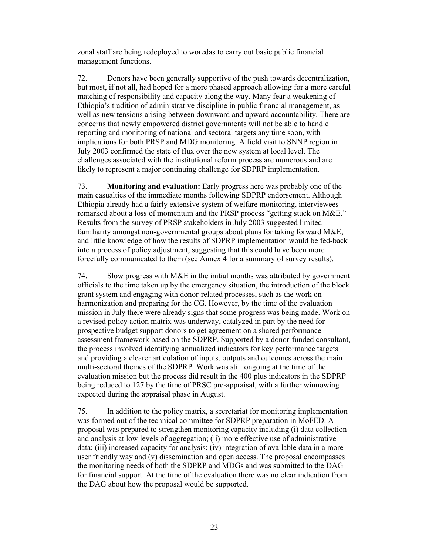zonal staff are being redeployed to woredas to carry out basic public financial management functions.

72. Donors have been generally supportive of the push towards decentralization, but most, if not all, had hoped for a more phased approach allowing for a more careful matching of responsibility and capacity along the way. Many fear a weakening of Ethiopia's tradition of administrative discipline in public financial management, as well as new tensions arising between downward and upward accountability. There are concerns that newly empowered district governments will not be able to handle reporting and monitoring of national and sectoral targets any time soon, with implications for both PRSP and MDG monitoring. A field visit to SNNP region in July 2003 confirmed the state of flux over the new system at local level. The challenges associated with the institutional reform process are numerous and are likely to represent a major continuing challenge for SDPRP implementation.

73. **Monitoring and evaluation:** Early progress here was probably one of the main casualties of the immediate months following SDPRP endorsement. Although Ethiopia already had a fairly extensive system of welfare monitoring, interviewees remarked about a loss of momentum and the PRSP process "getting stuck on M&E." Results from the survey of PRSP stakeholders in July 2003 suggested limited familiarity amongst non-governmental groups about plans for taking forward M&E, and little knowledge of how the results of SDPRP implementation would be fed-back into a process of policy adjustment, suggesting that this could have been more forcefully communicated to them (see Annex 4 for a summary of survey results).

74. Slow progress with M&E in the initial months was attributed by government officials to the time taken up by the emergency situation, the introduction of the block grant system and engaging with donor-related processes, such as the work on harmonization and preparing for the CG. However, by the time of the evaluation mission in July there were already signs that some progress was being made. Work on a revised policy action matrix was underway, catalyzed in part by the need for prospective budget support donors to get agreement on a shared performance assessment framework based on the SDPRP. Supported by a donor-funded consultant, the process involved identifying annualized indicators for key performance targets and providing a clearer articulation of inputs, outputs and outcomes across the main multi-sectoral themes of the SDPRP. Work was still ongoing at the time of the evaluation mission but the process did result in the 400 plus indicators in the SDPRP being reduced to 127 by the time of PRSC pre-appraisal, with a further winnowing expected during the appraisal phase in August.

75. In addition to the policy matrix, a secretariat for monitoring implementation was formed out of the technical committee for SDPRP preparation in MoFED. A proposal was prepared to strengthen monitoring capacity including (i) data collection and analysis at low levels of aggregation; (ii) more effective use of administrative data; (iii) increased capacity for analysis; (iv) integration of available data in a more user friendly way and (v) dissemination and open access. The proposal encompasses the monitoring needs of both the SDPRP and MDGs and was submitted to the DAG for financial support. At the time of the evaluation there was no clear indication from the DAG about how the proposal would be supported.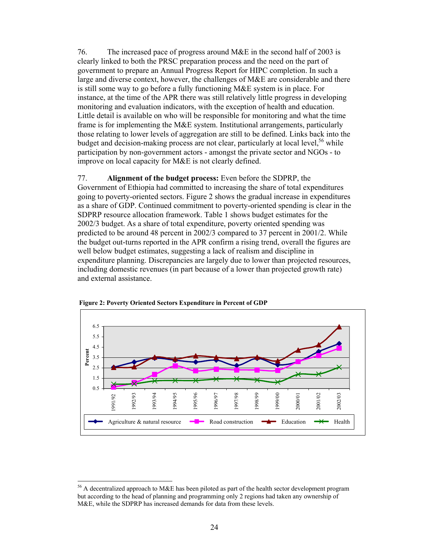76. The increased pace of progress around M&E in the second half of 2003 is clearly linked to both the PRSC preparation process and the need on the part of government to prepare an Annual Progress Report for HIPC completion. In such a large and diverse context, however, the challenges of M&E are considerable and there is still some way to go before a fully functioning M&E system is in place. For instance, at the time of the APR there was still relatively little progress in developing monitoring and evaluation indicators, with the exception of health and education. Little detail is available on who will be responsible for monitoring and what the time frame is for implementing the M&E system. Institutional arrangements, particularly those relating to lower levels of aggregation are still to be defined. Links back into the budget and decision-making process are not clear, particularly at local level,  $56$  while participation by non-government actors - amongst the private sector and NGOs - to improve on local capacity for M&E is not clearly defined.

#### 77. **Alignment of the budget process:** Even before the SDPRP, the

Government of Ethiopia had committed to increasing the share of total expenditures going to poverty-oriented sectors. Figure 2 shows the gradual increase in expenditures as a share of GDP. Continued commitment to poverty-oriented spending is clear in the SDPRP resource allocation framework. Table 1 shows budget estimates for the 2002/3 budget. As a share of total expenditure, poverty oriented spending was predicted to be around 48 percent in 2002/3 compared to 37 percent in 2001/2. While the budget out-turns reported in the APR confirm a rising trend, overall the figures are well below budget estimates, suggesting a lack of realism and discipline in expenditure planning. Discrepancies are largely due to lower than projected resources, including domestic revenues (in part because of a lower than projected growth rate) and external assistance.





 $\overline{\phantom{a}}$ 

<sup>&</sup>lt;sup>56</sup> A decentralized approach to M&E has been piloted as part of the health sector development program but according to the head of planning and programming only 2 regions had taken any ownership of M&E, while the SDPRP has increased demands for data from these levels.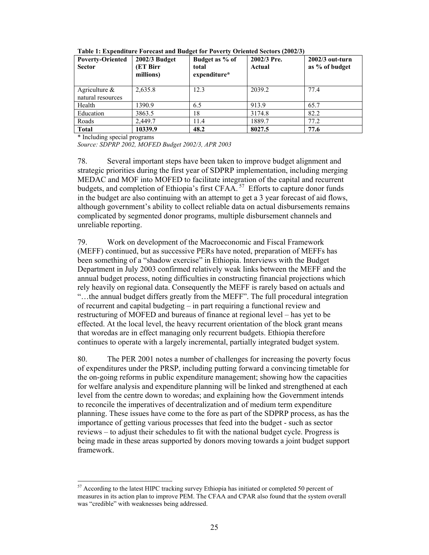| <b>Poverty-Oriented</b><br><b>Sector</b> | 2002/3 Budget<br>(ET Birr<br>millions) | Budget as % of<br>total<br>expenditure* | 2002/3 Pre.<br>Actual | $2002/3$ out-turn<br>as % of budget |
|------------------------------------------|----------------------------------------|-----------------------------------------|-----------------------|-------------------------------------|
| Agriculture $\&$<br>natural resources    | 2,635.8                                | 12.3                                    | 2039.2                | 77.4                                |
| Health                                   | 1390.9                                 | 6.5                                     | 913.9                 | 65.7                                |
| Education                                | 3863.5                                 | 18                                      | 3174.8                | 82.2                                |
| Roads                                    | 2,449.7                                | 11.4                                    | 1889.7                | 77.2                                |
| <b>Total</b>                             | 10339.9                                | 48.2                                    | 8027.5                | 77.6                                |

**Table 1: Expenditure Forecast and Budget for Poverty Oriented Sectors (2002/3)** 

\* Including special programs

 $\overline{\phantom{a}}$ 

*Source: SDPRP 2002, MOFED Budget 2002/3, APR 2003* 

78. Several important steps have been taken to improve budget alignment and strategic priorities during the first year of SDPRP implementation, including merging MEDAC and MOF into MOFED to facilitate integration of the capital and recurrent budgets, and completion of Ethiopia's first CFAA.<sup>57</sup> Efforts to capture donor funds in the budget are also continuing with an attempt to get a 3 year forecast of aid flows, although government's ability to collect reliable data on actual disbursements remains complicated by segmented donor programs, multiple disbursement channels and unreliable reporting.

79. Work on development of the Macroeconomic and Fiscal Framework (MEFF) continued, but as successive PERs have noted, preparation of MEFFs has been something of a "shadow exercise" in Ethiopia. Interviews with the Budget Department in July 2003 confirmed relatively weak links between the MEFF and the annual budget process, noting difficulties in constructing financial projections which rely heavily on regional data. Consequently the MEFF is rarely based on actuals and "…the annual budget differs greatly from the MEFF". The full procedural integration of recurrent and capital budgeting – in part requiring a functional review and restructuring of MOFED and bureaus of finance at regional level – has yet to be effected. At the local level, the heavy recurrent orientation of the block grant means that woredas are in effect managing only recurrent budgets. Ethiopia therefore continues to operate with a largely incremental, partially integrated budget system.

80. The PER 2001 notes a number of challenges for increasing the poverty focus of expenditures under the PRSP, including putting forward a convincing timetable for the on-going reforms in public expenditure management; showing how the capacities for welfare analysis and expenditure planning will be linked and strengthened at each level from the centre down to woredas; and explaining how the Government intends to reconcile the imperatives of decentralization and of medium term expenditure planning. These issues have come to the fore as part of the SDPRP process, as has the importance of getting various processes that feed into the budget - such as sector reviews – to adjust their schedules to fit with the national budget cycle. Progress is being made in these areas supported by donors moving towards a joint budget support framework.

<sup>&</sup>lt;sup>57</sup> According to the latest HIPC tracking survey Ethiopia has initiated or completed 50 percent of measures in its action plan to improve PEM. The CFAA and CPAR also found that the system overall was "credible" with weaknesses being addressed.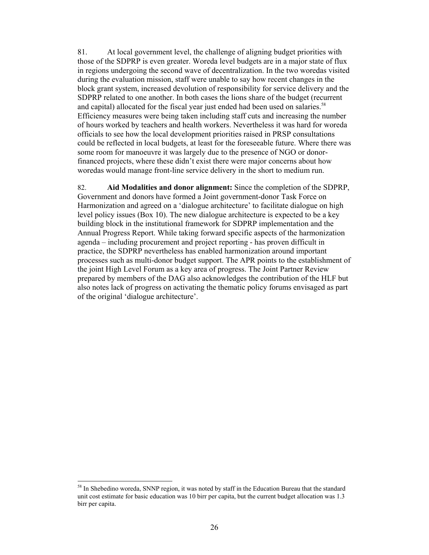81. At local government level, the challenge of aligning budget priorities with those of the SDPRP is even greater. Woreda level budgets are in a major state of flux in regions undergoing the second wave of decentralization. In the two woredas visited during the evaluation mission, staff were unable to say how recent changes in the block grant system, increased devolution of responsibility for service delivery and the SDPRP related to one another. In both cases the lions share of the budget (recurrent and capital) allocated for the fiscal year just ended had been used on salaries.<sup>58</sup> Efficiency measures were being taken including staff cuts and increasing the number of hours worked by teachers and health workers. Nevertheless it was hard for woreda officials to see how the local development priorities raised in PRSP consultations could be reflected in local budgets, at least for the foreseeable future. Where there was some room for manoeuvre it was largely due to the presence of NGO or donorfinanced projects, where these didn't exist there were major concerns about how woredas would manage front-line service delivery in the short to medium run.

82. **Aid Modalities and donor alignment:** Since the completion of the SDPRP, Government and donors have formed a Joint government-donor Task Force on Harmonization and agreed on a 'dialogue architecture' to facilitate dialogue on high level policy issues (Box 10). The new dialogue architecture is expected to be a key building block in the institutional framework for SDPRP implementation and the Annual Progress Report. While taking forward specific aspects of the harmonization agenda – including procurement and project reporting - has proven difficult in practice, the SDPRP nevertheless has enabled harmonization around important processes such as multi-donor budget support. The APR points to the establishment of the joint High Level Forum as a key area of progress. The Joint Partner Review prepared by members of the DAG also acknowledges the contribution of the HLF but also notes lack of progress on activating the thematic policy forums envisaged as part of the original 'dialogue architecture'.

 $\overline{\phantom{a}}$ 

<sup>&</sup>lt;sup>58</sup> In Shebedino woreda, SNNP region, it was noted by staff in the Education Bureau that the standard unit cost estimate for basic education was 10 birr per capita, but the current budget allocation was 1.3 birr per capita.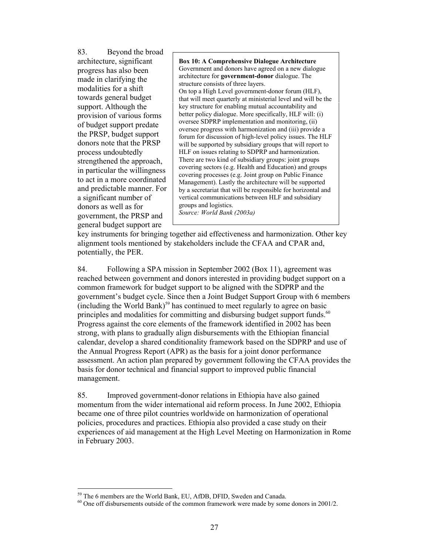83. Beyond the broad architecture, significant progress has also been made in clarifying the modalities for a shift towards general budget support. Although the provision of various forms of budget support predate the PRSP, budget support donors note that the PRSP process undoubtedly strengthened the approach, in particular the willingness to act in a more coordinated and predictable manner. For a significant number of donors as well as for government, the PRSP and general budget support are

**Box 10: A Comprehensive Dialogue Architecture**  Government and donors have agreed on a new dialogue architecture for **government-donor** dialogue. The structure consists of three layers. On top a High Level government-donor forum (HLF), that will meet quarterly at ministerial level and will be the key structure for enabling mutual accountability and better policy dialogue. More specifically, HLF will: (i) oversee SDPRP implementation and monitoring, (ii) oversee progress with harmonization and (iii) provide a forum for discussion of high-level policy issues. The HLF will be supported by subsidiary groups that will report to HLF on issues relating to SDPRP and harmonization. There are two kind of subsidiary groups: joint groups covering sectors (e.g. Health and Education) and groups covering processes (e.g. Joint group on Public Finance Management). Lastly the architecture will be supported by a secretariat that will be responsible for horizontal and vertical communications between HLF and subsidiary groups and logistics. *Source: World Bank (2003a)*

key instruments for bringing together aid effectiveness and harmonization. Other key alignment tools mentioned by stakeholders include the CFAA and CPAR and, potentially, the PER.

84. Following a SPA mission in September 2002 (Box 11), agreement was reached between government and donors interested in providing budget support on a common framework for budget support to be aligned with the SDPRP and the government's budget cycle. Since then a Joint Budget Support Group with 6 members  $(including the World Bank)<sup>59</sup>$  has continued to meet regularly to agree on basic principles and modalities for committing and disbursing budget support funds.<sup>60</sup> Progress against the core elements of the framework identified in 2002 has been strong, with plans to gradually align disbursements with the Ethiopian financial calendar, develop a shared conditionality framework based on the SDPRP and use of the Annual Progress Report (APR) as the basis for a joint donor performance assessment. An action plan prepared by government following the CFAA provides the basis for donor technical and financial support to improved public financial management.

85. Improved government-donor relations in Ethiopia have also gained momentum from the wider international aid reform process. In June 2002, Ethiopia became one of three pilot countries worldwide on harmonization of operational policies, procedures and practices. Ethiopia also provided a case study on their experiences of aid management at the High Level Meeting on Harmonization in Rome in February 2003.

 $\overline{\phantom{a}}$ 59 The 6 members are the World Bank, EU, AfDB, DFID, Sweden and Canada.

 $60$  One off disbursements outside of the common framework were made by some donors in 2001/2.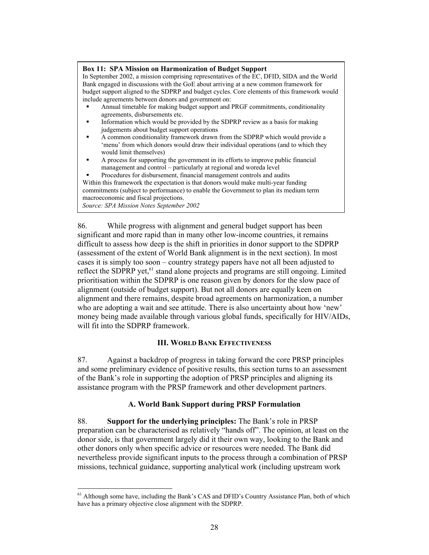#### **Box 11: SPA Mission on Harmonization of Budget Support**

In September 2002, a mission comprising representatives of the EC, DFID, SIDA and the World Bank engaged in discussions with the GoE about arriving at a new common framework for budget support aligned to the SDPRP and budget cycles. Core elements of this framework would include agreements between donors and government on:

- Annual timetable for making budget support and PRGF commitments, conditionality agreements, disbursements etc.
- Information which would be provided by the SDPRP review as a basis for making judgements about budget support operations
- A common conditionality framework drawn from the SDPRP which would provide a 'menu' from which donors would draw their individual operations (and to which they would limit themselves)
- A process for supporting the government in its efforts to improve public financial management and control – particularly at regional and woreda level

 Procedures for disbursement, financial management controls and audits Within this framework the expectation is that donors would make multi-year funding commitments (subject to performance) to enable the Government to plan its medium term macroeconomic and fiscal projections. *Source: SPA Mission Notes September 2002* 

86. While progress with alignment and general budget support has been significant and more rapid than in many other low-income countries, it remains difficult to assess how deep is the shift in priorities in donor support to the SDPRP (assessment of the extent of World Bank alignment is in the next section). In most cases it is simply too soon – country strategy papers have not all been adjusted to reflect the SDPRP yet,<sup>61</sup> stand alone projects and programs are still ongoing. Limited prioritisation within the SDPRP is one reason given by donors for the slow pace of alignment (outside of budget support). But not all donors are equally keen on alignment and there remains, despite broad agreements on harmonization, a number who are adopting a wait and see attitude. There is also uncertainty about how 'new' money being made available through various global funds, specifically for HIV/AIDs, will fit into the SDPRP framework.

### **III. WORLD BANK EFFECTIVENESS**

87. Against a backdrop of progress in taking forward the core PRSP principles and some preliminary evidence of positive results, this section turns to an assessment of the Bank's role in supporting the adoption of PRSP principles and aligning its assistance program with the PRSP framework and other development partners.

### **A. World Bank Support during PRSP Formulation**

88. **Support for the underlying principles:** The Bank's role in PRSP preparation can be characterised as relatively "hands off". The opinion, at least on the donor side, is that government largely did it their own way, looking to the Bank and other donors only when specific advice or resources were needed. The Bank did nevertheless provide significant inputs to the process through a combination of PRSP missions, technical guidance, supporting analytical work (including upstream work

 $\overline{\phantom{a}}$ 

 $<sup>61</sup>$  Although some have, including the Bank's CAS and DFID's Country Assistance Plan, both of which</sup> have has a primary objective close alignment with the SDPRP.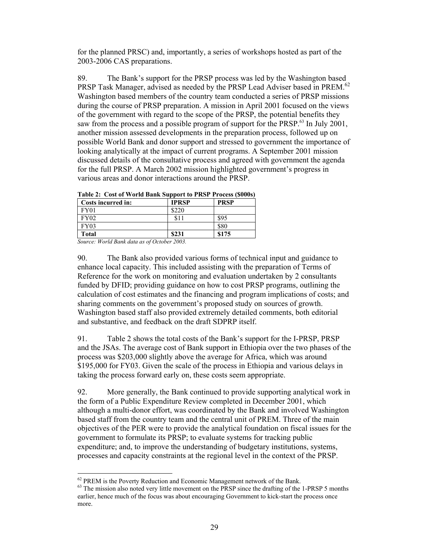for the planned PRSC) and, importantly, a series of workshops hosted as part of the 2003-2006 CAS preparations.

89. The Bank's support for the PRSP process was led by the Washington based PRSP Task Manager, advised as needed by the PRSP Lead Adviser based in PREM.<sup>62</sup> Washington based members of the country team conducted a series of PRSP missions during the course of PRSP preparation. A mission in April 2001 focused on the views of the government with regard to the scope of the PRSP, the potential benefits they saw from the process and a possible program of support for the PRSP. $^{63}$  In July 2001, another mission assessed developments in the preparation process, followed up on possible World Bank and donor support and stressed to government the importance of looking analytically at the impact of current programs. A September 2001 mission discussed details of the consultative process and agreed with government the agenda for the full PRSP. A March 2002 mission highlighted government's progress in various areas and donor interactions around the PRSP.

| Table 2. Cost of World Dalik Support to FKSI Trucess (5000s)<br>Costs incurred in: | <b>PRSP</b> |       |
|------------------------------------------------------------------------------------|-------------|-------|
| FY01                                                                               | \$220       |       |
| <b>FY02</b>                                                                        | \$11        | \$95  |
| <b>FY03</b>                                                                        |             | \$80  |
| <b>Total</b>                                                                       | \$231       | \$175 |

**Table 2: Cost of World Bank Support to PRSP Process (\$000s)** 

*Source: World Bank data as of October 2003.* 

 $\overline{\phantom{a}}$ 

90. The Bank also provided various forms of technical input and guidance to enhance local capacity. This included assisting with the preparation of Terms of Reference for the work on monitoring and evaluation undertaken by 2 consultants funded by DFID; providing guidance on how to cost PRSP programs, outlining the calculation of cost estimates and the financing and program implications of costs; and sharing comments on the government's proposed study on sources of growth. Washington based staff also provided extremely detailed comments, both editorial and substantive, and feedback on the draft SDPRP itself.

91. Table 2 shows the total costs of the Bank's support for the I-PRSP, PRSP and the JSAs. The average cost of Bank support in Ethiopia over the two phases of the process was \$203,000 slightly above the average for Africa, which was around \$195,000 for FY03. Given the scale of the process in Ethiopia and various delays in taking the process forward early on, these costs seem appropriate.

92. More generally, the Bank continued to provide supporting analytical work in the form of a Public Expenditure Review completed in December 2001, which although a multi-donor effort, was coordinated by the Bank and involved Washington based staff from the country team and the central unit of PREM. Three of the main objectives of the PER were to provide the analytical foundation on fiscal issues for the government to formulate its PRSP; to evaluate systems for tracking public expenditure; and, to improve the understanding of budgetary institutions, systems, processes and capacity constraints at the regional level in the context of the PRSP.

<sup>&</sup>lt;sup>62</sup> PREM is the Poverty Reduction and Economic Management network of the Bank.

<sup>&</sup>lt;sup>63</sup> The mission also noted very little movement on the PRSP since the drafting of the 1-PRSP 5 months earlier, hence much of the focus was about encouraging Government to kick-start the process once more.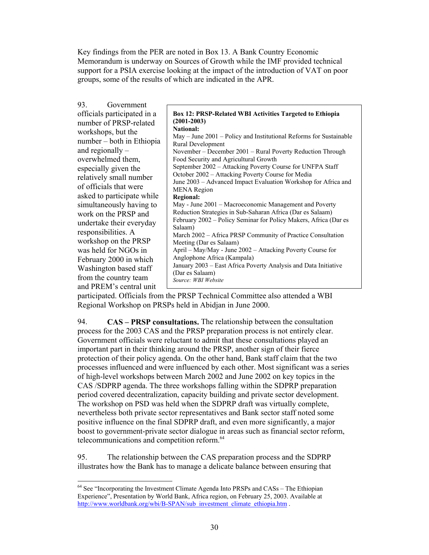Key findings from the PER are noted in Box 13. A Bank Country Economic Memorandum is underway on Sources of Growth while the IMF provided technical support for a PSIA exercise looking at the impact of the introduction of VAT on poor groups, some of the results of which are indicated in the APR.

participated. Officials from the PRSP Technical Committee also attended a WBI Regional Workshop on PRSPs held in Abidjan in June 2000.

94. **CAS – PRSP consultations.** The relationship between the consultation process for the 2003 CAS and the PRSP preparation process is not entirely clear. Government officials were reluctant to admit that these consultations played an important part in their thinking around the PRSP, another sign of their fierce protection of their policy agenda. On the other hand, Bank staff claim that the two processes influenced and were influenced by each other. Most significant was a series of high-level workshops between March 2002 and June 2002 on key topics in the CAS /SDPRP agenda. The three workshops falling within the SDPRP preparation period covered decentralization, capacity building and private sector development. The workshop on PSD was held when the SDPRP draft was virtually complete, nevertheless both private sector representatives and Bank sector staff noted some positive influence on the final SDPRP draft, and even more significantly, a major boost to government-private sector dialogue in areas such as financial sector reform, telecommunications and competition reform.<sup>64</sup>

95. The relationship between the CAS preparation process and the SDPRP illustrates how the Bank has to manage a delicate balance between ensuring that

 $\overline{\phantom{a}}$ 

<sup>&</sup>lt;sup>64</sup> See "Incorporating the Investment Climate Agenda Into PRSPs and CASs – The Ethiopian Experience", Presentation by World Bank, Africa region, on February 25, 2003. Available at http://www.worldbank.org/wbi/B-SPAN/sub\_investment\_climate\_ethiopia.htm .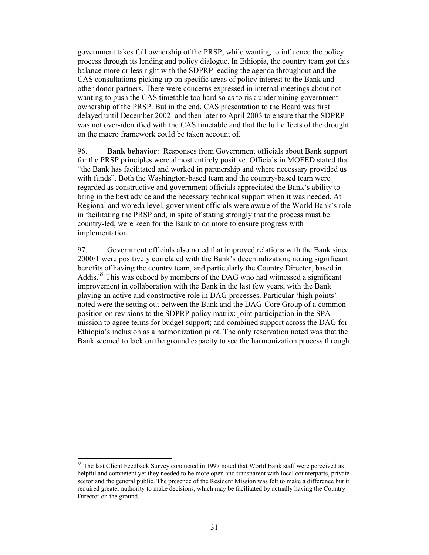government takes full ownership of the PRSP, while wanting to influence the policy process through its lending and policy dialogue. In Ethiopia, the country team got this balance more or less right with the SDPRP leading the agenda throughout and the CAS consultations picking up on specific areas of policy interest to the Bank and other donor partners. There were concerns expressed in internal meetings about not wanting to push the CAS timetable too hard so as to risk undermining government ownership of the PRSP. But in the end, CAS presentation to the Board was first delayed until December 2002 and then later to April 2003 to ensure that the SDPRP was not over-identified with the CAS timetable and that the full effects of the drought on the macro framework could be taken account of.

96. **Bank behavior**: Responses from Government officials about Bank support for the PRSP principles were almost entirely positive. Officials in MOFED stated that "the Bank has facilitated and worked in partnership and where necessary provided us with funds". Both the Washington-based team and the country-based team were regarded as constructive and government officials appreciated the Bank's ability to bring in the best advice and the necessary technical support when it was needed. At Regional and woreda level, government officials were aware of the World Bank's role in facilitating the PRSP and, in spite of stating strongly that the process must be country-led, were keen for the Bank to do more to ensure progress with implementation.

97. Government officials also noted that improved relations with the Bank since 2000/1 were positively correlated with the Bank's decentralization; noting significant benefits of having the country team, and particularly the Country Director, based in Addis.<sup>65</sup> This was echoed by members of the DAG who had witnessed a significant improvement in collaboration with the Bank in the last few years, with the Bank playing an active and constructive role in DAG processes. Particular 'high points' noted were the setting out between the Bank and the DAG-Core Group of a common position on revisions to the SDPRP policy matrix; joint participation in the SPA mission to agree terms for budget support; and combined support across the DAG for Ethiopia's inclusion as a harmonization pilot. The only reservation noted was that the Bank seemed to lack on the ground capacity to see the harmonization process through.

 $\overline{\phantom{a}}$ 

<sup>&</sup>lt;sup>65</sup> The last Client Feedback Survey conducted in 1997 noted that World Bank staff were perceived as helpful and competent yet they needed to be more open and transparent with local counterparts, private sector and the general public. The presence of the Resident Mission was felt to make a difference but it required greater authority to make decisions, which may be facilitated by actually having the Country Director on the ground.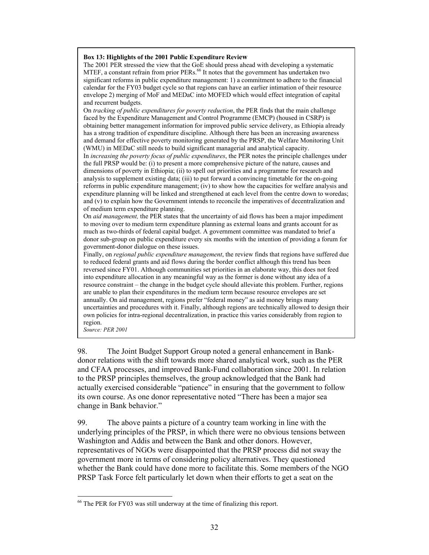#### **Box 13: Highlights of the 2001 Public Expenditure Review**

The 2001 PER stressed the view that the GoE should press ahead with developing a systematic MTEF, a constant refrain from prior PERs.<sup>66</sup> It notes that the government has undertaken two significant reforms in public expenditure management: 1) a commitment to adhere to the financial calendar for the FY03 budget cycle so that regions can have an earlier intimation of their resource envelope 2) merging of MoF and MEDaC into MOFED which would effect integration of capital and recurrent budgets.

On *tracking of public expenditures for poverty reduction*, the PER finds that the main challenge faced by the Expenditure Management and Control Programme (EMCP) (housed in CSRP) is obtaining better management information for improved public service delivery, as Ethiopia already has a strong tradition of expenditure discipline. Although there has been an increasing awareness and demand for effective poverty monitoring generated by the PRSP, the Welfare Monitoring Unit (WMU) in MEDaC still needs to build significant managerial and analytical capacity.

In *increasing the poverty focus of public expenditures*, the PER notes the principle challenges under the full PRSP would be: (i) to present a more comprehensive picture of the nature, causes and dimensions of poverty in Ethiopia; (ii) to spell out priorities and a programme for research and analysis to supplement existing data; (iii) to put forward a convincing timetable for the on-going reforrns in public expenditure management; (iv) to show how the capacities for welfare analysis and expenditure planning will be linked and strengthened at each level from the centre down to woredas; and (v) to explain how the Government intends to reconcile the imperatives of decentralization and of medium term expenditure planning.

On *aid management,* the PER states that the uncertainty of aid flows has been a major impediment to moving over to medium term expenditure planning as external loans and grants account for as much as two-thirds of federal capital budget. A government committee was mandated to brief a donor sub-group on public expenditure every six months with the intention of providing a forum for government-donor dialogue on these issues.

Finally, on *regional public expenditure management*, the review finds that regions have suffered due to reduced federal grants and aid flows during the border conflict although this trend has been reversed since FY01. Although communities set priorities in an elaborate way, this does not feed into expenditure allocation in any meaningful way as the former is done without any idea of a resource constraint – the change in the budget cycle should alleviate this problem. Further, regions are unable to plan their expenditures in the medium term because resource envelopes are set annually. On aid management, regions prefer "federal money" as aid money brings many uncertainties and procedures with it. Finally, although regions are technically allowed to design their own policies for intra-regional decentralization, in practice this varies considerably from region to region.

*Source: PER 2001* 

 $\overline{\phantom{a}}$ 

98. The Joint Budget Support Group noted a general enhancement in Bankdonor relations with the shift towards more shared analytical work, such as the PER and CFAA processes, and improved Bank-Fund collaboration since 2001. In relation to the PRSP principles themselves, the group acknowledged that the Bank had actually exercised considerable "patience" in ensuring that the government to follow its own course. As one donor representative noted "There has been a major sea change in Bank behavior."

99. The above paints a picture of a country team working in line with the underlying principles of the PRSP, in which there were no obvious tensions between Washington and Addis and between the Bank and other donors. However, representatives of NGOs were disappointed that the PRSP process did not sway the government more in terms of considering policy alternatives. They questioned whether the Bank could have done more to facilitate this. Some members of the NGO PRSP Task Force felt particularly let down when their efforts to get a seat on the

 $66$  The PER for FY03 was still underway at the time of finalizing this report.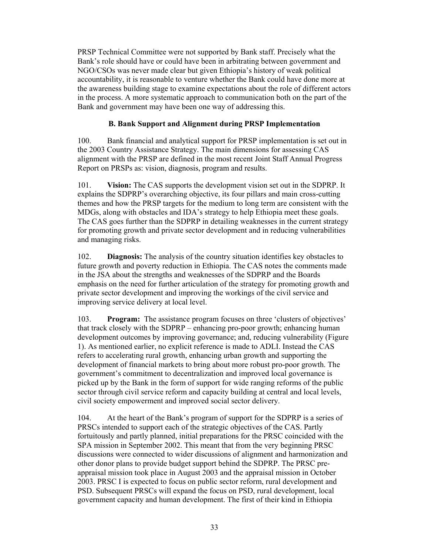PRSP Technical Committee were not supported by Bank staff. Precisely what the Bank's role should have or could have been in arbitrating between government and NGO/CSOs was never made clear but given Ethiopia's history of weak political accountability, it is reasonable to venture whether the Bank could have done more at the awareness building stage to examine expectations about the role of different actors in the process. A more systematic approach to communication both on the part of the Bank and government may have been one way of addressing this.

### **B. Bank Support and Alignment during PRSP Implementation**

100. Bank financial and analytical support for PRSP implementation is set out in the 2003 Country Assistance Strategy. The main dimensions for assessing CAS alignment with the PRSP are defined in the most recent Joint Staff Annual Progress Report on PRSPs as: vision, diagnosis, program and results.

101. **Vision:** The CAS supports the development vision set out in the SDPRP. It explains the SDPRP's overarching objective, its four pillars and main cross-cutting themes and how the PRSP targets for the medium to long term are consistent with the MDGs, along with obstacles and IDA's strategy to help Ethiopia meet these goals. The CAS goes further than the SDPRP in detailing weaknesses in the current strategy for promoting growth and private sector development and in reducing vulnerabilities and managing risks.

102. **Diagnosis:** The analysis of the country situation identifies key obstacles to future growth and poverty reduction in Ethiopia. The CAS notes the comments made in the JSA about the strengths and weaknesses of the SDPRP and the Boards emphasis on the need for further articulation of the strategy for promoting growth and private sector development and improving the workings of the civil service and improving service delivery at local level.

103. **Program:** The assistance program focuses on three 'clusters of objectives' that track closely with the SDPRP – enhancing pro-poor growth; enhancing human development outcomes by improving governance; and, reducing vulnerability (Figure 1). As mentioned earlier, no explicit reference is made to ADLI. Instead the CAS refers to accelerating rural growth, enhancing urban growth and supporting the development of financial markets to bring about more robust pro-poor growth. The government's commitment to decentralization and improved local governance is picked up by the Bank in the form of support for wide ranging reforms of the public sector through civil service reform and capacity building at central and local levels, civil society empowerment and improved social sector delivery.

104. At the heart of the Bank's program of support for the SDPRP is a series of PRSCs intended to support each of the strategic objectives of the CAS. Partly fortuitously and partly planned, initial preparations for the PRSC coincided with the SPA mission in September 2002. This meant that from the very beginning PRSC discussions were connected to wider discussions of alignment and harmonization and other donor plans to provide budget support behind the SDPRP. The PRSC preappraisal mission took place in August 2003 and the appraisal mission in October 2003. PRSC I is expected to focus on public sector reform, rural development and PSD. Subsequent PRSCs will expand the focus on PSD, rural development, local government capacity and human development. The first of their kind in Ethiopia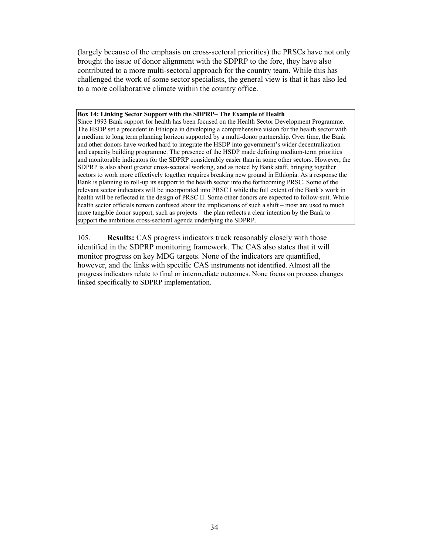(largely because of the emphasis on cross-sectoral priorities) the PRSCs have not only brought the issue of donor alignment with the SDPRP to the fore, they have also contributed to a more multi-sectoral approach for the country team. While this has challenged the work of some sector specialists, the general view is that it has also led to a more collaborative climate within the country office.

#### **Box 14: Linking Sector Support with the SDPRP– The Example of Health**

Since 1993 Bank support for health has been focused on the Health Sector Development Programme. The HSDP set a precedent in Ethiopia in developing a comprehensive vision for the health sector with a medium to long term planning horizon supported by a multi-donor partnership. Over time, the Bank and other donors have worked hard to integrate the HSDP into government's wider decentralization and capacity building programme. The presence of the HSDP made defining medium-term priorities and monitorable indicators for the SDPRP considerably easier than in some other sectors. However, the SDPRP is also about greater cross-sectoral working, and as noted by Bank staff, bringing together sectors to work more effectively together requires breaking new ground in Ethiopia. As a response the Bank is planning to roll-up its support to the health sector into the forthcoming PRSC. Some of the relevant sector indicators will be incorporated into PRSC I while the full extent of the Bank's work in health will be reflected in the design of PRSC II. Some other donors are expected to follow-suit. While health sector officials remain confused about the implications of such a shift – most are used to much more tangible donor support, such as projects – the plan reflects a clear intention by the Bank to support the ambitious cross-sectoral agenda underlying the SDPRP.

105. **Results:** CAS progress indicators track reasonably closely with those identified in the SDPRP monitoring framework. The CAS also states that it will monitor progress on key MDG targets. None of the indicators are quantified, however, and the links with specific CAS instruments not identified. Almost all the progress indicators relate to final or intermediate outcomes. None focus on process changes linked specifically to SDPRP implementation.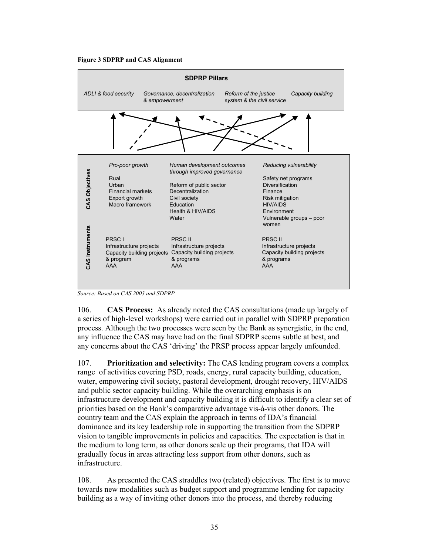



*Source: Based on CAS 2003 and SDPRP* 

106. **CAS Process:** As already noted the CAS consultations (made up largely of a series of high-level workshops) were carried out in parallel with SDPRP preparation process. Although the two processes were seen by the Bank as synergistic, in the end, any influence the CAS may have had on the final SDPRP seems subtle at best, and any concerns about the CAS 'driving' the PRSP process appear largely unfounded.

107. **Prioritization and selectivity:** The CAS lending program covers a complex range of activities covering PSD, roads, energy, rural capacity building, education, water, empowering civil society, pastoral development, drought recovery, HIV/AIDS and public sector capacity building. While the overarching emphasis is on infrastructure development and capacity building it is difficult to identify a clear set of priorities based on the Bank's comparative advantage vis-à-vis other donors. The country team and the CAS explain the approach in terms of IDA's financial dominance and its key leadership role in supporting the transition from the SDPRP vision to tangible improvements in policies and capacities. The expectation is that in the medium to long term, as other donors scale up their programs, that IDA will gradually focus in areas attracting less support from other donors, such as infrastructure.

108. As presented the CAS straddles two (related) objectives. The first is to move towards new modalities such as budget support and programme lending for capacity building as a way of inviting other donors into the process, and thereby reducing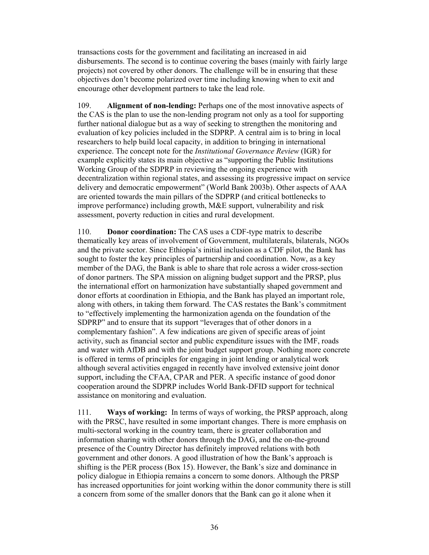transactions costs for the government and facilitating an increased in aid disbursements. The second is to continue covering the bases (mainly with fairly large projects) not covered by other donors. The challenge will be in ensuring that these objectives don't become polarized over time including knowing when to exit and encourage other development partners to take the lead role.

109. **Alignment of non-lending:** Perhaps one of the most innovative aspects of the CAS is the plan to use the non-lending program not only as a tool for supporting further national dialogue but as a way of seeking to strengthen the monitoring and evaluation of key policies included in the SDPRP. A central aim is to bring in local researchers to help build local capacity, in addition to bringing in international experience. The concept note for the *Institutional Governance Review* (IGR) for example explicitly states its main objective as "supporting the Public Institutions Working Group of the SDPRP in reviewing the ongoing experience with decentralization within regional states, and assessing its progressive impact on service delivery and democratic empowerment" (World Bank 2003b). Other aspects of AAA are oriented towards the main pillars of the SDPRP (and critical bottlenecks to improve performance) including growth, M&E support, vulnerability and risk assessment, poverty reduction in cities and rural development.

110. **Donor coordination:** The CAS uses a CDF-type matrix to describe thematically key areas of involvement of Government, multilaterals, bilaterals, NGOs and the private sector. Since Ethiopia's initial inclusion as a CDF pilot, the Bank has sought to foster the key principles of partnership and coordination. Now, as a key member of the DAG, the Bank is able to share that role across a wider cross-section of donor partners. The SPA mission on aligning budget support and the PRSP, plus the international effort on harmonization have substantially shaped government and donor efforts at coordination in Ethiopia, and the Bank has played an important role, along with others, in taking them forward. The CAS restates the Bank's commitment to "effectively implementing the harmonization agenda on the foundation of the SDPRP" and to ensure that its support "leverages that of other donors in a complementary fashion". A few indications are given of specific areas of joint activity, such as financial sector and public expenditure issues with the IMF, roads and water with AfDB and with the joint budget support group. Nothing more concrete is offered in terms of principles for engaging in joint lending or analytical work although several activities engaged in recently have involved extensive joint donor support, including the CFAA, CPAR and PER. A specific instance of good donor cooperation around the SDPRP includes World Bank-DFID support for technical assistance on monitoring and evaluation.

111. **Ways of working:** In terms of ways of working, the PRSP approach, along with the PRSC, have resulted in some important changes. There is more emphasis on multi-sectoral working in the country team, there is greater collaboration and information sharing with other donors through the DAG, and the on-the-ground presence of the Country Director has definitely improved relations with both government and other donors. A good illustration of how the Bank's approach is shifting is the PER process (Box 15). However, the Bank's size and dominance in policy dialogue in Ethiopia remains a concern to some donors. Although the PRSP has increased opportunities for joint working within the donor community there is still a concern from some of the smaller donors that the Bank can go it alone when it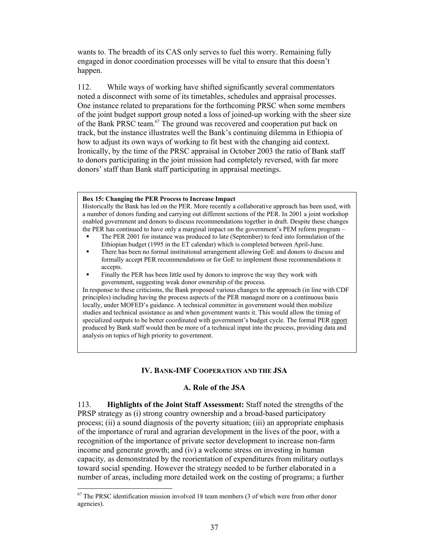wants to. The breadth of its CAS only serves to fuel this worry. Remaining fully engaged in donor coordination processes will be vital to ensure that this doesn't happen.

112. While ways of working have shifted significantly several commentators noted a disconnect with some of its timetables, schedules and appraisal processes. One instance related to preparations for the forthcoming PRSC when some members of the joint budget support group noted a loss of joined-up working with the sheer size of the Bank PRSC team.<sup>67</sup> The ground was recovered and cooperation put back on track, but the instance illustrates well the Bank's continuing dilemma in Ethiopia of how to adjust its own ways of working to fit best with the changing aid context. Ironically, by the time of the PRSC appraisal in October 2003 the ratio of Bank staff to donors participating in the joint mission had completely reversed, with far more donors' staff than Bank staff participating in appraisal meetings.

#### **Box 15: Changing the PER Process to Increase Impact**

Historically the Bank has led on the PER. More recently a collaborative approach has been used, with a number of donors funding and carrying out different sections of the PER. In 2001 a joint workshop enabled government and donors to discuss recommendations together in draft. Despite these changes the PER has continued to have only a marginal impact on the government's PEM reform program –

- The PER 2001 for instance was produced to late (September) to feed into formulation of the Ethiopian budget (1995 in the ET calendar) which is completed between April-June.
- There has been no formal institutional arrangement allowing GoE and donors to discuss and formally accept PER recommendations or for GoE to implement those recommendations it accepts.
- Finally the PER has been little used by donors to improve the way they work with government, suggesting weak donor ownership of the process.

In response to these criticisms, the Bank proposed various changes to the approach (in line with CDF principles) including having the process aspects of the PER managed more on a continuous basis locally, under MOFED's guidance. A technical committee in government would then mobilize studies and technical assistance as and when government wants it. This would allow the timing of specialized outputs to be better coordinated with government's budget cycle. The formal PER report produced by Bank staff would then be more of a technical input into the process, providing data and analysis on topics of high priority to government.

### **IV. BANK-IMF COOPERATION AND THE JSA**

#### **A. Role of the JSA**

113. **Highlights of the Joint Staff Assessment:** Staff noted the strengths of the PRSP strategy as (i) strong country ownership and a broad-based participatory process; (ii) a sound diagnosis of the poverty situation; (iii) an appropriate emphasis of the importance of rural and agrarian development in the lives of the poor, with a recognition of the importance of private sector development to increase non-farm income and generate growth; and (iv) a welcome stress on investing in human capacity*,* as demonstrated by the reorientation of expenditures from military outlays toward social spending. However the strategy needed to be further elaborated in a number of areas, including more detailed work on the costing of programs; a further

 $\overline{\phantom{a}}$ 

 $67$  The PRSC identification mission involved 18 team members (3 of which were from other donor agencies).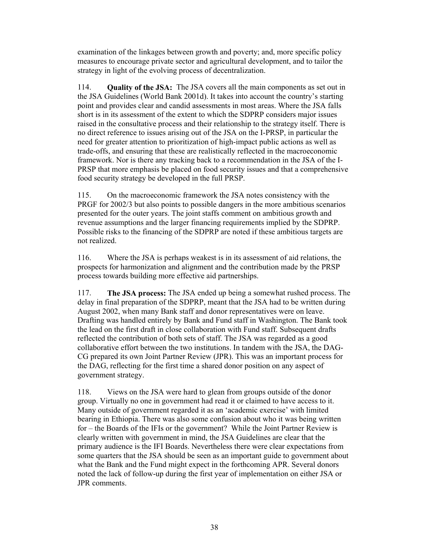examination of the linkages between growth and poverty; and, more specific policy measures to encourage private sector and agricultural development, and to tailor the strategy in light of the evolving process of decentralization.

114. **Quality of the JSA:** The JSA covers all the main components as set out in the JSA Guidelines (World Bank 2001d). It takes into account the country's starting point and provides clear and candid assessments in most areas. Where the JSA falls short is in its assessment of the extent to which the SDPRP considers major issues raised in the consultative process and their relationship to the strategy itself. There is no direct reference to issues arising out of the JSA on the I-PRSP, in particular the need for greater attention to prioritization of high-impact public actions as well as trade-offs, and ensuring that these are realistically reflected in the macroeconomic framework. Nor is there any tracking back to a recommendation in the JSA of the I-PRSP that more emphasis be placed on food security issues and that a comprehensive food security strategy be developed in the full PRSP.

115. On the macroeconomic framework the JSA notes consistency with the PRGF for 2002/3 but also points to possible dangers in the more ambitious scenarios presented for the outer years. The joint staffs comment on ambitious growth and revenue assumptions and the larger financing requirements implied by the SDPRP. Possible risks to the financing of the SDPRP are noted if these ambitious targets are not realized.

116. Where the JSA is perhaps weakest is in its assessment of aid relations, the prospects for harmonization and alignment and the contribution made by the PRSP process towards building more effective aid partnerships.

117. **The JSA process:** The JSA ended up being a somewhat rushed process. The delay in final preparation of the SDPRP, meant that the JSA had to be written during August 2002, when many Bank staff and donor representatives were on leave. Drafting was handled entirely by Bank and Fund staff in Washington. The Bank took the lead on the first draft in close collaboration with Fund staff. Subsequent drafts reflected the contribution of both sets of staff. The JSA was regarded as a good collaborative effort between the two institutions. In tandem with the JSA, the DAG-CG prepared its own Joint Partner Review (JPR). This was an important process for the DAG, reflecting for the first time a shared donor position on any aspect of government strategy.

118. Views on the JSA were hard to glean from groups outside of the donor group. Virtually no one in government had read it or claimed to have access to it. Many outside of government regarded it as an 'academic exercise' with limited bearing in Ethiopia. There was also some confusion about who it was being written for – the Boards of the IFIs or the government? While the Joint Partner Review is clearly written with government in mind, the JSA Guidelines are clear that the primary audience is the IFI Boards. Nevertheless there were clear expectations from some quarters that the JSA should be seen as an important guide to government about what the Bank and the Fund might expect in the forthcoming APR. Several donors noted the lack of follow-up during the first year of implementation on either JSA or JPR comments.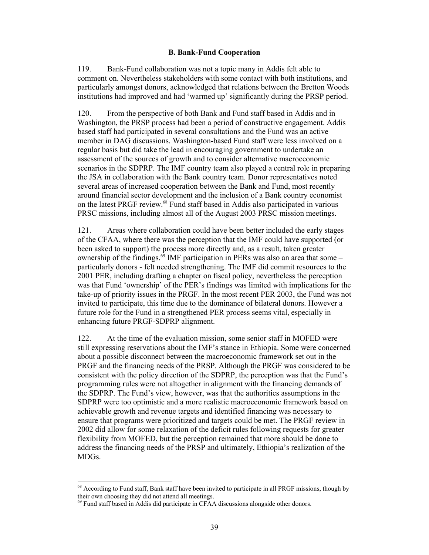#### **B. Bank-Fund Cooperation**

119. Bank-Fund collaboration was not a topic many in Addis felt able to comment on. Nevertheless stakeholders with some contact with both institutions, and particularly amongst donors, acknowledged that relations between the Bretton Woods institutions had improved and had 'warmed up' significantly during the PRSP period.

120. From the perspective of both Bank and Fund staff based in Addis and in Washington, the PRSP process had been a period of constructive engagement. Addis based staff had participated in several consultations and the Fund was an active member in DAG discussions. Washington-based Fund staff were less involved on a regular basis but did take the lead in encouraging government to undertake an assessment of the sources of growth and to consider alternative macroeconomic scenarios in the SDPRP. The IMF country team also played a central role in preparing the JSA in collaboration with the Bank country team. Donor representatives noted several areas of increased cooperation between the Bank and Fund, most recently around financial sector development and the inclusion of a Bank country economist on the latest PRGF review.<sup>68</sup> Fund staff based in Addis also participated in various PRSC missions, including almost all of the August 2003 PRSC mission meetings.

121. Areas where collaboration could have been better included the early stages of the CFAA, where there was the perception that the IMF could have supported (or been asked to support) the process more directly and, as a result, taken greater ownership of the findings. $^{69}$  IMF participation in PERs was also an area that some – particularly donors - felt needed strengthening. The IMF did commit resources to the 2001 PER, including drafting a chapter on fiscal policy, nevertheless the perception was that Fund 'ownership' of the PER's findings was limited with implications for the take-up of priority issues in the PRGF. In the most recent PER 2003, the Fund was not invited to participate, this time due to the dominance of bilateral donors. However a future role for the Fund in a strengthened PER process seems vital, especially in enhancing future PRGF-SDPRP alignment.

122. At the time of the evaluation mission, some senior staff in MOFED were still expressing reservations about the IMF's stance in Ethiopia. Some were concerned about a possible disconnect between the macroeconomic framework set out in the PRGF and the financing needs of the PRSP. Although the PRGF was considered to be consistent with the policy direction of the SDPRP, the perception was that the Fund's programming rules were not altogether in alignment with the financing demands of the SDPRP. The Fund's view, however, was that the authorities assumptions in the SDPRP were too optimistic and a more realistic macroeconomic framework based on achievable growth and revenue targets and identified financing was necessary to ensure that programs were prioritized and targets could be met. The PRGF review in 2002 did allow for some relaxation of the deficit rules following requests for greater flexibility from MOFED, but the perception remained that more should be done to address the financing needs of the PRSP and ultimately, Ethiopia's realization of the MDGs.

 $\overline{\phantom{a}}$ 

<sup>&</sup>lt;sup>68</sup> According to Fund staff, Bank staff have been invited to participate in all PRGF missions, though by their own choosing they did not attend all meetings.

<sup>&</sup>lt;sup>69</sup> Fund staff based in Addis did participate in CFAA discussions alongside other donors.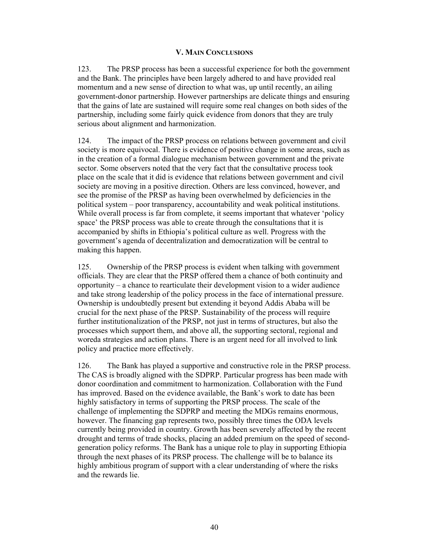### **V. MAIN CONCLUSIONS**

123. The PRSP process has been a successful experience for both the government and the Bank. The principles have been largely adhered to and have provided real momentum and a new sense of direction to what was, up until recently, an ailing government-donor partnership. However partnerships are delicate things and ensuring that the gains of late are sustained will require some real changes on both sides of the partnership, including some fairly quick evidence from donors that they are truly serious about alignment and harmonization.

124. The impact of the PRSP process on relations between government and civil society is more equivocal. There is evidence of positive change in some areas, such as in the creation of a formal dialogue mechanism between government and the private sector. Some observers noted that the very fact that the consultative process took place on the scale that it did is evidence that relations between government and civil society are moving in a positive direction. Others are less convinced, however, and see the promise of the PRSP as having been overwhelmed by deficiencies in the political system – poor transparency, accountability and weak political institutions. While overall process is far from complete, it seems important that whatever 'policy space' the PRSP process was able to create through the consultations that it is accompanied by shifts in Ethiopia's political culture as well. Progress with the government's agenda of decentralization and democratization will be central to making this happen.

125. Ownership of the PRSP process is evident when talking with government officials. They are clear that the PRSP offered them a chance of both continuity and opportunity – a chance to rearticulate their development vision to a wider audience and take strong leadership of the policy process in the face of international pressure. Ownership is undoubtedly present but extending it beyond Addis Ababa will be crucial for the next phase of the PRSP. Sustainability of the process will require further institutionalization of the PRSP, not just in terms of structures, but also the processes which support them, and above all, the supporting sectoral, regional and woreda strategies and action plans. There is an urgent need for all involved to link policy and practice more effectively.

126. The Bank has played a supportive and constructive role in the PRSP process. The CAS is broadly aligned with the SDPRP. Particular progress has been made with donor coordination and commitment to harmonization. Collaboration with the Fund has improved. Based on the evidence available, the Bank's work to date has been highly satisfactory in terms of supporting the PRSP process. The scale of the challenge of implementing the SDPRP and meeting the MDGs remains enormous, however. The financing gap represents two, possibly three times the ODA levels currently being provided in country. Growth has been severely affected by the recent drought and terms of trade shocks, placing an added premium on the speed of secondgeneration policy reforms. The Bank has a unique role to play in supporting Ethiopia through the next phases of its PRSP process. The challenge will be to balance its highly ambitious program of support with a clear understanding of where the risks and the rewards lie.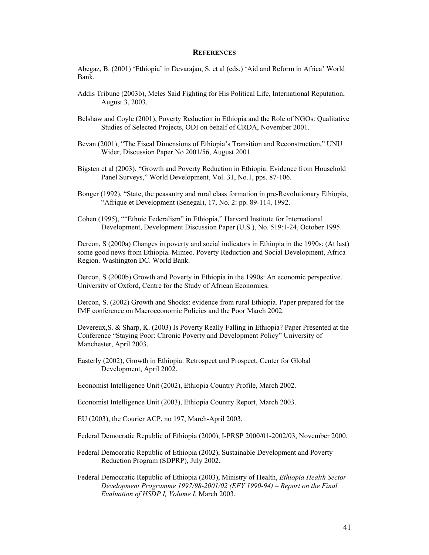#### **REFERENCES**

Abegaz, B. (2001) 'Ethiopia' in Devarajan, S. et al (eds.) 'Aid and Reform in Africa' World Bank.

- Addis Tribune (2003b), Meles Said Fighting for His Political Life, International Reputation, August 3, 2003.
- Belshaw and Coyle (2001), Poverty Reduction in Ethiopia and the Role of NGOs: Qualitative Studies of Selected Projects, ODI on behalf of CRDA, November 2001.
- Bevan (2001), "The Fiscal Dimensions of Ethiopia's Transition and Reconstruction," UNU Wider, Discussion Paper No 2001/56, August 2001.
- Bigsten et al (2003), "Growth and Poverty Reduction in Ethiopia: Evidence from Household Panel Surveys," World Development, Vol. 31, No.1, pps. 87-106.
- Bonger (1992), "State, the peasantry and rural class formation in pre-Revolutionary Ethiopia, "Afrique et Development (Senegal), 17, No. 2: pp. 89-114, 1992.
- Cohen (1995), ""Ethnic Federalism" in Ethiopia," Harvard Institute for International Development, Development Discussion Paper (U.S.), No. 519:1-24, October 1995.

Dercon, S (2000a) Changes in poverty and social indicators in Ethiopia in the 1990s: (At last) some good news from Ethiopia. Mimeo. Poverty Reduction and Social Development, Africa Region. Washington DC. World Bank.

Dercon, S (2000b) Growth and Poverty in Ethiopia in the 1990s: An economic perspective. University of Oxford, Centre for the Study of African Economies.

Dercon, S. (2002) Growth and Shocks: evidence from rural Ethiopia. Paper prepared for the IMF conference on Macroeconomic Policies and the Poor March 2002.

Devereux,S. & Sharp, K. (2003) Is Poverty Really Falling in Ethiopia? Paper Presented at the Conference "Staying Poor: Chronic Poverty and Development Policy" University of Manchester, April 2003.

Easterly (2002), Growth in Ethiopia: Retrospect and Prospect, Center for Global Development, April 2002.

Economist Intelligence Unit (2002), Ethiopia Country Profile, March 2002.

Economist Intelligence Unit (2003), Ethiopia Country Report, March 2003.

EU (2003), the Courier ACP, no 197, March-April 2003.

Federal Democratic Republic of Ethiopia (2000), I-PRSP 2000/01-2002/03, November 2000.

- Federal Democratic Republic of Ethiopia (2002), Sustainable Development and Poverty Reduction Program (SDPRP), July 2002.
- Federal Democratic Republic of Ethiopia (2003), Ministry of Health, *Ethiopia Health Sector Development Programme 1997/98-2001/02 (EFY 1990-94) – Report on the Final Evaluation of HSDP I, Volume I*, March 2003.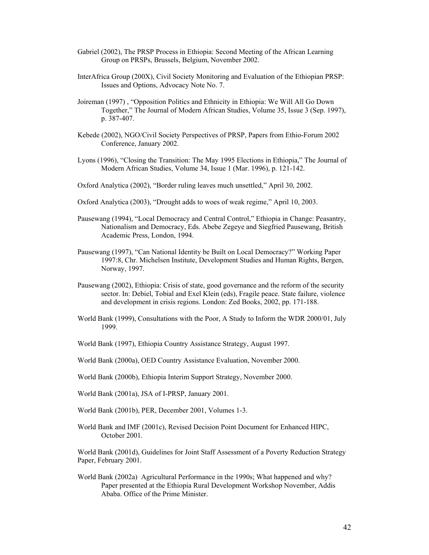- Gabriel (2002), The PRSP Process in Ethiopia: Second Meeting of the African Learning Group on PRSPs, Brussels, Belgium, November 2002.
- InterAfrica Group (200X), Civil Society Monitoring and Evaluation of the Ethiopian PRSP: Issues and Options, Advocacy Note No. 7.
- Joireman (1997) , "Opposition Politics and Ethnicity in Ethiopia: We Will All Go Down Together," The Journal of Modern African Studies, Volume 35, Issue 3 (Sep. 1997), p. 387-407.
- Kebede (2002), NGO/Civil Society Perspectives of PRSP, Papers from Ethio-Forum 2002 Conference, January 2002.
- Lyons (1996), "Closing the Transition: The May 1995 Elections in Ethiopia," The Journal of Modern African Studies, Volume 34, Issue 1 (Mar. 1996), p. 121-142.
- Oxford Analytica (2002), "Border ruling leaves much unsettled," April 30, 2002.
- Oxford Analytica (2003), "Drought adds to woes of weak regime," April 10, 2003.
- Pausewang (1994), "Local Democracy and Central Control," Ethiopia in Change: Peasantry, Nationalism and Democracy, Eds. Abebe Zegeye and Siegfried Pausewang, British Academic Press, London, 1994.
- Pausewang (1997), "Can National Identity be Built on Local Democracy?" Working Paper 1997:8, Chr. Michelsen Institute, Development Studies and Human Rights, Bergen, Norway, 1997.
- Pausewang (2002), Ethiopia: Crisis of state, good governance and the reform of the security sector. In: Debiel, Tobial and Exel Klein (eds), Fragile peace. State failure, violence and development in crisis regions. London: Zed Books, 2002, pp. 171-188.
- World Bank (1999), Consultations with the Poor, A Study to Inform the WDR 2000/01, July 1999.
- World Bank (1997), Ethiopia Country Assistance Strategy, August 1997.
- World Bank (2000a), OED Country Assistance Evaluation, November 2000.
- World Bank (2000b), Ethiopia Interim Support Strategy, November 2000.
- World Bank (2001a), JSA of I-PRSP, January 2001.
- World Bank (2001b), PER, December 2001, Volumes 1-3.
- World Bank and IMF (2001c), Revised Decision Point Document for Enhanced HIPC, October 2001.

World Bank (2001d), Guidelines for Joint Staff Assessment of a Poverty Reduction Strategy Paper, February 2001.

World Bank (2002a) Agricultural Performance in the 1990s; What happened and why? Paper presented at the Ethiopia Rural Development Workshop November, Addis Ababa. Office of the Prime Minister.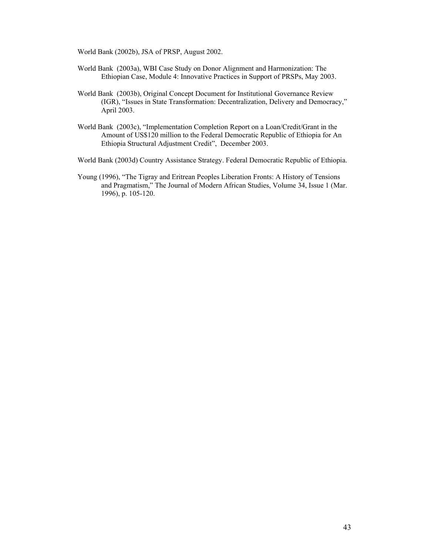World Bank (2002b), JSA of PRSP, August 2002.

- World Bank (2003a), WBI Case Study on Donor Alignment and Harmonization: The Ethiopian Case, Module 4: Innovative Practices in Support of PRSPs, May 2003.
- World Bank (2003b), Original Concept Document for Institutional Governance Review (IGR), "Issues in State Transformation: Decentralization, Delivery and Democracy," April 2003.
- World Bank (2003c), "Implementation Completion Report on a Loan/Credit/Grant in the Amount of US\$120 million to the Federal Democratic Republic of Ethiopia for An Ethiopia Structural Adjustment Credit", December 2003.
- World Bank (2003d) Country Assistance Strategy. Federal Democratic Republic of Ethiopia.
- Young (1996), "The Tigray and Eritrean Peoples Liberation Fronts: A History of Tensions and Pragmatism," The Journal of Modern African Studies, Volume 34, Issue 1 (Mar. 1996), p. 105-120.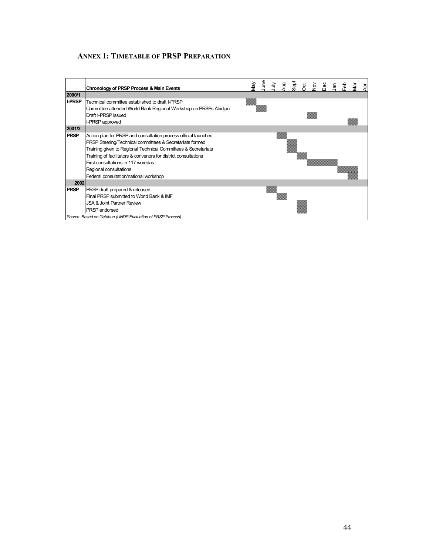### **ANNEX 1: TIMETABLE OF PRSP PREPARATION**

|               | Chronology of PRSP Process & Main Events                         | Vie | lune | $\frac{1}{2}$ | gu<br>P | Sept | ğ | $rac{5}{2}$ | Sec | $\Xi$ | ခို့ | āν | Αpr |
|---------------|------------------------------------------------------------------|-----|------|---------------|---------|------|---|-------------|-----|-------|------|----|-----|
| 2000/1        |                                                                  |     |      |               |         |      |   |             |     |       |      |    |     |
| <b>I-PRSP</b> | Technical committee established to draft I-PRSP                  |     |      |               |         |      |   |             |     |       |      |    |     |
|               | Committee attended World Bank Regional Workshop on PRSPs Abidjan |     |      |               |         |      |   |             |     |       |      |    |     |
|               | Draft I-PRSP issued                                              |     |      |               |         |      |   |             |     |       |      |    |     |
|               | I-PRSP approved                                                  |     |      |               |         |      |   |             |     |       |      |    |     |
| 2001/2        |                                                                  |     |      |               |         |      |   |             |     |       |      |    |     |
| <b>PRSP</b>   | Action plan for PRSP and consultation process official launched  |     |      |               |         |      |   |             |     |       |      |    |     |
|               | PRSP Steering/Technical committees & Secretariats formed         |     |      |               |         |      |   |             |     |       |      |    |     |
|               | Training given to Regional Technical Committees & Secretariats   |     |      |               |         |      |   |             |     |       |      |    |     |
|               | Training of facilitators & convenors for district consultations  |     |      |               |         |      |   |             |     |       |      |    |     |
|               | First consultations in 117 woredas                               |     |      |               |         |      |   |             |     |       |      |    |     |
|               | Regional consultations                                           |     |      |               |         |      |   |             |     |       |      |    |     |
|               | Federal consultation/national workshop                           |     |      |               |         |      |   |             |     |       |      |    |     |
| 2002          |                                                                  |     |      |               |         |      |   |             |     |       |      |    |     |
| <b>PRSP</b>   | PRSP draft prepared & released                                   |     |      |               |         |      |   |             |     |       |      |    |     |
|               | Final PRSP submitted to World Bank & IMF                         |     |      |               |         |      |   |             |     |       |      |    |     |
|               | JSA & Joint Partner Review                                       |     |      |               |         |      |   |             |     |       |      |    |     |
|               | PRSP endorsed                                                    |     |      |               |         |      |   |             |     |       |      |    |     |
|               | Source: Based on Getahun (UNDP Evaluation of PRSP Process)       |     |      |               |         |      |   |             |     |       |      |    |     |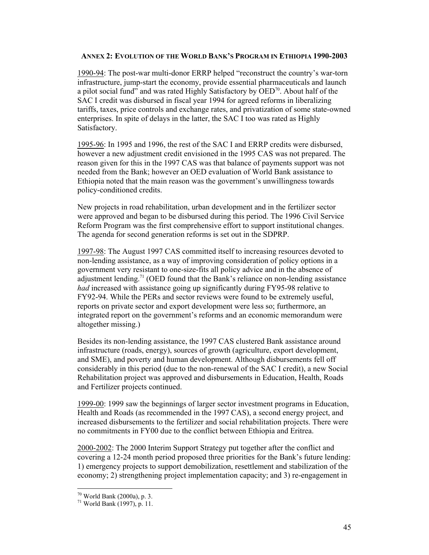#### **ANNEX 2: EVOLUTION OF THE WORLD BANK'S PROGRAM IN ETHIOPIA 1990-2003**

1990-94: The post-war multi-donor ERRP helped "reconstruct the country's war-torn infrastructure, jump-start the economy, provide essential pharmaceuticals and launch a pilot social fund" and was rated Highly Satisfactory by  $\overline{OED}^{70}$ . About half of the SAC I credit was disbursed in fiscal year 1994 for agreed reforms in liberalizing tariffs, taxes, price controls and exchange rates, and privatization of some state-owned enterprises. In spite of delays in the latter, the SAC I too was rated as Highly Satisfactory.

1995-96: In 1995 and 1996, the rest of the SAC I and ERRP credits were disbursed, however a new adjustment credit envisioned in the 1995 CAS was not prepared. The reason given for this in the 1997 CAS was that balance of payments support was not needed from the Bank; however an OED evaluation of World Bank assistance to Ethiopia noted that the main reason was the government's unwillingness towards policy-conditioned credits.

New projects in road rehabilitation, urban development and in the fertilizer sector were approved and began to be disbursed during this period. The 1996 Civil Service Reform Program was the first comprehensive effort to support institutional changes. The agenda for second generation reforms is set out in the SDPRP.

1997-98: The August 1997 CAS committed itself to increasing resources devoted to non-lending assistance, as a way of improving consideration of policy options in a government very resistant to one-size-fits all policy advice and in the absence of adjustment lending.<sup>71</sup> (OED found that the Bank's reliance on non-lending assistance *had* increased with assistance going up significantly during FY95-98 relative to FY92-94. While the PERs and sector reviews were found to be extremely useful, reports on private sector and export development were less so; furthermore, an integrated report on the government's reforms and an economic memorandum were altogether missing.)

Besides its non-lending assistance, the 1997 CAS clustered Bank assistance around infrastructure (roads, energy), sources of growth (agriculture, export development, and SME), and poverty and human development. Although disbursements fell off considerably in this period (due to the non-renewal of the SAC I credit), a new Social Rehabilitation project was approved and disbursements in Education, Health, Roads and Fertilizer projects continued.

1999-00: 1999 saw the beginnings of larger sector investment programs in Education, Health and Roads (as recommended in the 1997 CAS), a second energy project, and increased disbursements to the fertilizer and social rehabilitation projects. There were no commitments in FY00 due to the conflict between Ethiopia and Eritrea.

2000-2002: The 2000 Interim Support Strategy put together after the conflict and covering a 12-24 month period proposed three priorities for the Bank's future lending: 1) emergency projects to support demobilization, resettlement and stabilization of the economy; 2) strengthening project implementation capacity; and 3) re-engagement in

 $\overline{a}$ 

<sup>70</sup> World Bank (2000a), p. 3.

<sup>71</sup> World Bank (1997), p. 11.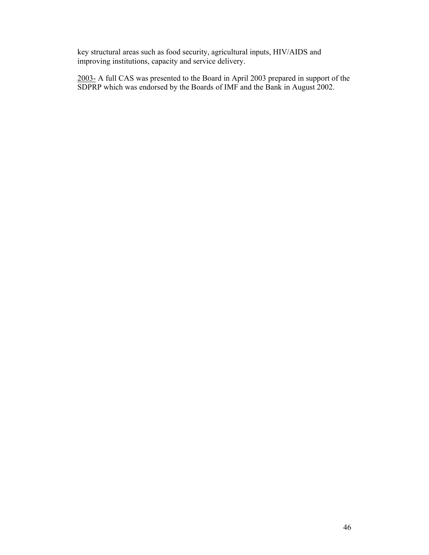key structural areas such as food security, agricultural inputs, HIV/AIDS and improving institutions, capacity and service delivery.

2003- A full CAS was presented to the Board in April 2003 prepared in support of the SDPRP which was endorsed by the Boards of IMF and the Bank in August 2002.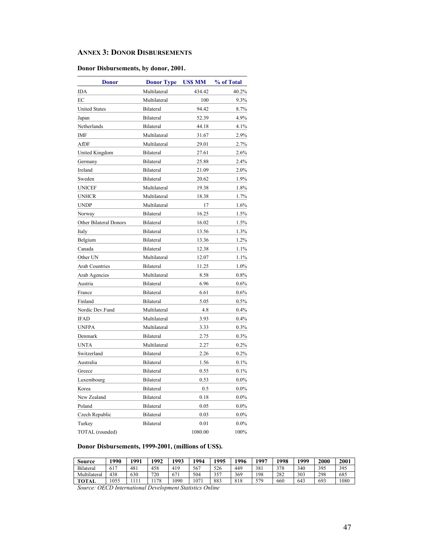#### **ANNEX 3: DONOR DISBURSEMENTS**

### **Donor Disbursements, by donor, 2001.**

| <b>Donor</b>           | <b>Donor Type</b> | <b>US\$ MM</b> | % of Total |
|------------------------|-------------------|----------------|------------|
| IDA                    | Multilateral      | 434.42         | 40.2%      |
| EC                     | Multilateral      | 100            | 9.3%       |
| <b>United States</b>   | Bilateral         | 94.42          | 8.7%       |
| Japan                  | Bilateral         | 52.39          | 4.9%       |
| Netherlands            | Bilateral         | 44.18          | 4.1%       |
| IMF                    | Multilateral      | 31.67          | 2.9%       |
| AfDF                   | Multilateral      | 29.01          | 2.7%       |
| United Kingdom         | Bilateral         | 27.61          | 2.6%       |
| Germany                | Bilateral         | 25.88          | 2.4%       |
| Ireland                | Bilateral         | 21.09          | 2.0%       |
| Sweden                 | Bilateral         | 20.62          | 1.9%       |
| <b>UNICEF</b>          | Multilateral      | 19.38          | 1.8%       |
| <b>UNHCR</b>           | Multilateral      | 18.38          | 1.7%       |
| <b>UNDP</b>            | Multilateral      | 17             | 1.6%       |
| Norway                 | Bilateral         | 16.25          | 1.5%       |
| Other Bilateral Donors | Bilateral         | 16.02          | 1.5%       |
| Italy                  | Bilateral         | 13.56          | 1.3%       |
| Belgium                | Bilateral         | 13.36          | 1.2%       |
| Canada                 | Bilateral         | 12.38          | 1.1%       |
| Other UN               | Multilateral      | 12.07          | 1.1%       |
| <b>Arab Countries</b>  | Bilateral         | 11.25          | 1.0%       |
| Arab Agencies          | Multilateral      | 8.58           | 0.8%       |
| Austria                | Bilateral         | 6.96           | 0.6%       |
| France                 | Bilateral         | 6.61           | 0.6%       |
| Finland                | Bilateral         | 5.05           | 0.5%       |
| Nordic Dev.Fund        | Multilateral      | 4.8            | 0.4%       |
| <b>IFAD</b>            | Multilateral      | 3.93           | 0.4%       |
| <b>UNFPA</b>           | Multilateral      | 3.33           | 0.3%       |
| Denmark                | Bilateral         | 2.75           | 0.3%       |
| <b>UNTA</b>            | Multilateral      | 2.27           | $0.2\%$    |
| Switzerland            | Bilateral         | 2.26           | 0.2%       |
| Australia              | Bilateral         | 1.56           | 0.1%       |
| Greece                 | Bilateral         | 0.55           | 0.1%       |
| Luxembourg             | Bilateral         | 0.53           | $0.0\%$    |
| Korea                  | Bilateral         | 0.5            | $0.0\%$    |
| New Zealand            | Bilateral         | 0.18           | $0.0\%$    |
| Poland                 | Bilateral         | 0.05           | $0.0\%$    |
| Czech Republic         | <b>Bilateral</b>  | 0.03           | $0.0\%$    |
| Turkey                 | Bilateral         | 0.01           | $0.0\%$    |
| TOTAL (rounded)        |                   | 1080.00        | 100%       |

### **Donor Disbursements, 1999-2001, (millions of US\$).**

| Source       | 1990 | $\mathbf{Q}$ | 1992 | 1993 | 1994 | 1995 | 996 | 1997 | 998 | 1999 | 2000 | 2001 |
|--------------|------|--------------|------|------|------|------|-----|------|-----|------|------|------|
| Bilateral    | 617  | 481          | 458  | 419  | 567  | 526  | 449 | 381  | 378 | 340  | 395  | 395  |
| Multilateral | 438  | 630          | 720  | 671  | 504  | 357  | 369 | 198  | 282 | 303  | 298  | 685  |
| <b>TOTAL</b> | 1055 |              | 178  | .090 | 07   | 883  | 818 | 579  | 660 | 643  | 693  | 1080 |

*Source: OECD International Development Statistics Online*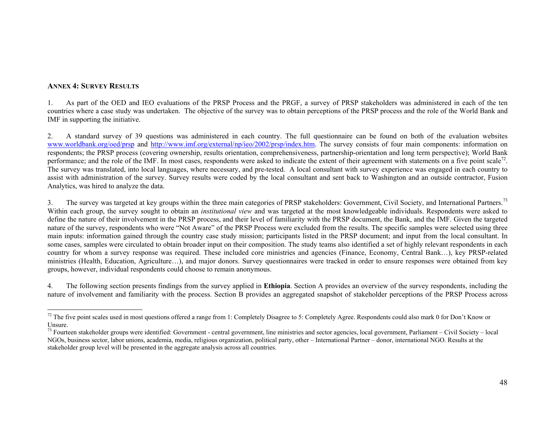#### **ANNEX 4: SURVEY RESULTS**

1. As part of the OED and IEO evaluations of the PRSP Process and the PRGF, a survey of PRSP stakeholders was administered in each of the ten countries where a case study was undertaken. The objective of the survey was to obtain perceptions of the PRSP process and the role of the World Bank and IMF in supporting the initiative.

2. A standard survey of 39 questions was administered in each country. The full questionnaire can be found on both of the evaluation websites www.worldbank.org/oed/prsp and http://www.imf.org/external/np/ieo/2002/prsp/index.htm. The survey consists of four main components: information on respondents; the PRSP process (covering ownership, results orientation, comprehensiveness, partnership-orientation and long term perspective); World Bank performance; and the role of the IMF. In most cases, respondents were asked to indicate the extent of their agreement with statements on a five point scale<sup>72</sup>. The survey was translated, into local languages, where necessary, and pre-tested. A local consultant with survey experience was engaged in each country to assist with administration of the survey. Survey results were coded by the local consultant and sent back to Washington and an outside contractor, Fusion Analytics, was hired to analyze the data.

3. The survey was targeted at key groups within the three main categories of PRSP stakeholders: Government, Civil Society, and International Partners.<sup>73</sup> Within each group, the survey sought to obtain an *institutional view* and was targeted at the most knowledgeable individuals. Respondents were asked to define the nature of their involvement in the PRSP process, and their level of familiarity with the PRSP document, the Bank, and the IMF. Given the targeted nature of the survey, respondents who were "Not Aware" of the PRSP Process were excluded from the results. The specific samples were selected using three main inputs: information gained through the country case study mission; participants listed in the PRSP document; and input from the local consultant. In some cases, samples were circulated to obtain broader input on their composition. The study teams also identified a set of highly relevant respondents in each country for whom a survey response was required. These included core ministries and agencies (Finance, Economy, Central Bank…), key PRSP-related ministries (Health, Education, Agriculture…), and major donors. Survey questionnaires were tracked in order to ensure responses were obtained from key groups, however, individual respondents could choose to remain anonymous.

4. The following section presents findings from the survey applied in **Ethiopia**. Section A provides an overview of the survey respondents, including the nature of involvement and familiarity with the process. Section B provides an aggregated snapshot of stakeholder perceptions of the PRSP Process across

<sup>&</sup>lt;sup>72</sup> The five point scales used in most questions offered a range from 1: Completely Disagree to 5: Completely Agree. Respondents could also mark 0 for Don't Know or Unsure.

 $^{73}$  Fourteen stakeholder groups were identified: Government - central government, line ministries and sector agencies, local government, Parliament – Civil Society – local NGOs, business sector, labor unions, academia, media, religious organization, political party, other – International Partner – donor, international NGO. Results at the stakeholder group level will be presented in the aggregate analysis across all countries.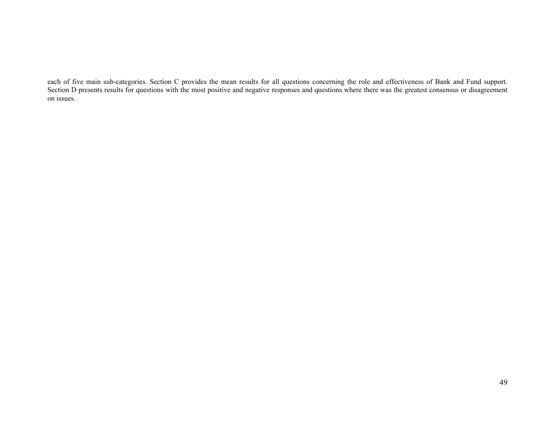each of five main sub-categories. Section C provides the mean results for all questions concerning the role and effectiveness of Bank and Fund support. Section D presents results for questions with the most positive and negative responses and questions where there was the greatest consensus or disagreement on issues.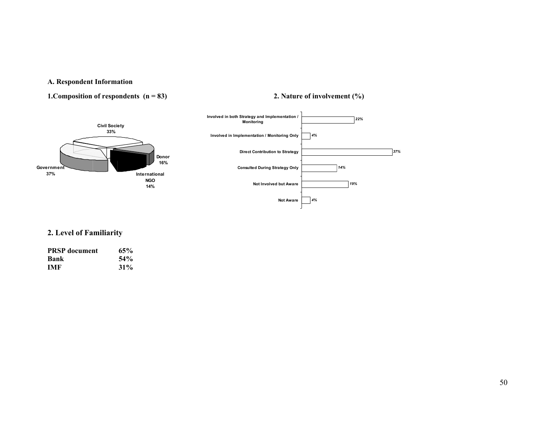### **A. Respondent Information**

### **1.Composition of respondents (n = 83) 2. Nature of involvement (%)**



### **2. Level of Familiarity**

| <b>PRSP</b> document | 65%    |
|----------------------|--------|
| Bank                 | 54%    |
| <b>IMF</b>           | $31\%$ |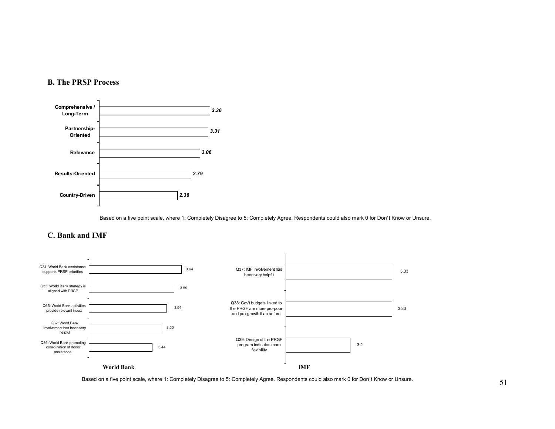### **B. The PRSP Process**



Based on a five point scale, where 1: Completely Disagree to 5: Completely Agree. Respondents could also mark 0 for Don't Know or Unsure.

### **C. Bank and IMF**



Based on a five point scale, where 1: Completely Disagree to 5: Completely Agree. Respondents could also mark 0 for Don't Know or Unsure.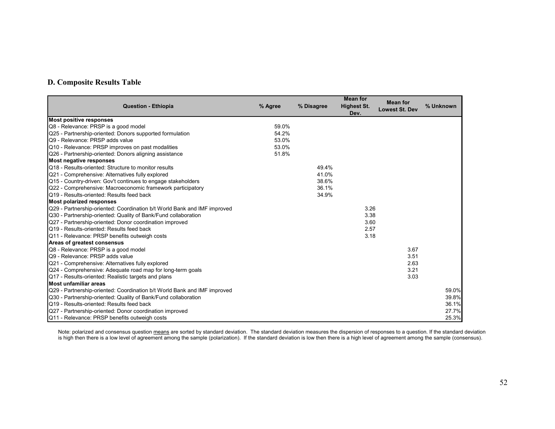### **D. Composite Results Table**

| <b>Question - Ethiopia</b>                                               | % Agree | % Disagree | <b>Mean for</b><br><b>Highest St.</b> | <b>Mean for</b>       | % Unknown |
|--------------------------------------------------------------------------|---------|------------|---------------------------------------|-----------------------|-----------|
|                                                                          |         |            | Dev.                                  | <b>Lowest St. Dev</b> |           |
| <b>Most positive responses</b>                                           |         |            |                                       |                       |           |
| Q8 - Relevance: PRSP is a good model                                     | 59.0%   |            |                                       |                       |           |
| Q25 - Partnership-oriented: Donors supported formulation                 | 54.2%   |            |                                       |                       |           |
| Q9 - Relevance: PRSP adds value                                          | 53.0%   |            |                                       |                       |           |
| Q10 - Relevance: PRSP improves on past modalities                        | 53.0%   |            |                                       |                       |           |
| Q26 - Partnership-oriented: Donors aligning assistance                   | 51.8%   |            |                                       |                       |           |
| <b>Most negative responses</b>                                           |         |            |                                       |                       |           |
| Q18 - Results-oriented: Structure to monitor results                     |         | 49.4%      |                                       |                       |           |
| Q21 - Comprehensive: Alternatives fully explored                         |         | 41.0%      |                                       |                       |           |
| Q15 - Country-driven: Gov't continues to engage stakeholders             |         | 38.6%      |                                       |                       |           |
| Q22 - Comprehensive: Macroeconomic framework participatory               |         | 36.1%      |                                       |                       |           |
| Q19 - Results-oriented: Results feed back                                |         | 34.9%      |                                       |                       |           |
| <b>Most polarized responses</b>                                          |         |            |                                       |                       |           |
| Q29 - Partnership-oriented: Coordination b/t World Bank and IMF improved |         |            | 3.26                                  |                       |           |
| Q30 - Partnership-oriented: Quality of Bank/Fund collaboration           |         |            | 3.38                                  |                       |           |
| Q27 - Partnership-oriented: Donor coordination improved                  |         |            | 3.60                                  |                       |           |
| Q19 - Results-oriented: Results feed back                                |         |            | 2.57                                  |                       |           |
| Q11 - Relevance: PRSP benefits outweigh costs                            |         |            | 3.18                                  |                       |           |
| Areas of greatest consensus                                              |         |            |                                       |                       |           |
| Q8 - Relevance: PRSP is a good model                                     |         |            |                                       | 3.67                  |           |
| Q9 - Relevance: PRSP adds value                                          |         |            |                                       | 3.51                  |           |
| Q21 - Comprehensive: Alternatives fully explored                         |         |            |                                       | 2.63                  |           |
| Q24 - Comprehensive: Adequate road map for long-term goals               |         |            |                                       | 3.21                  |           |
| Q17 - Results-oriented: Realistic targets and plans                      |         |            |                                       | 3.03                  |           |
| Most unfamiliar areas                                                    |         |            |                                       |                       |           |
| Q29 - Partnership-oriented: Coordination b/t World Bank and IMF improved |         |            |                                       |                       | 59.0%     |
| Q30 - Partnership-oriented: Quality of Bank/Fund collaboration           |         |            |                                       |                       | 39.8%     |
| Q19 - Results-oriented: Results feed back                                |         |            |                                       |                       | 36.1%     |
| Q27 - Partnership-oriented: Donor coordination improved                  |         |            |                                       |                       | 27.7%     |
| Q11 - Relevance: PRSP benefits outweigh costs                            |         |            |                                       |                       | 25.3%     |

Note: polarized and consensus question <u>means</u> are sorted by standard deviation. The standard deviation measures the dispersion of responses to a question. If the standard deviation is high then there is a low level of agreement among the sample (polarization). If the standard deviation is low then there is a high level of agreement among the sample (consensus).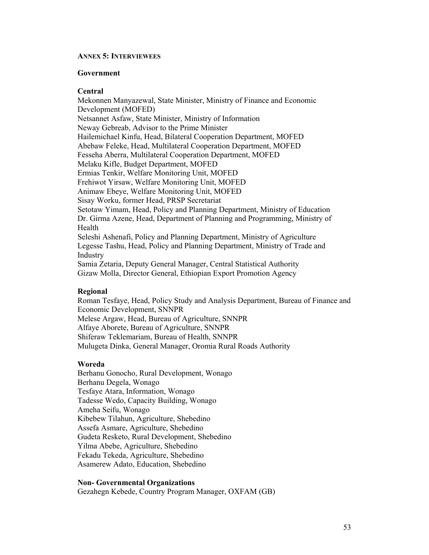#### **ANNEX 5: INTERVIEWEES**

#### **Government**

### **Central**

Mekonnen Manyazewal, State Minister, Ministry of Finance and Economic Development (MOFED) Netsannet Asfaw, State Minister, Ministry of Information Neway Gebreab, Advisor to the Prime Minister Hailemichael Kinfu, Head, Bilateral Cooperation Department, MOFED Abebaw Feleke, Head, Multilateral Cooperation Department, MOFED Fesseha Aberra, Multilateral Cooperation Department, MOFED Melaku Kifle, Budget Department, MOFED Ermias Tenkir, Welfare Monitoring Unit, MOFED Frehiwot Yirsaw, Welfare Monitoring Unit, MOFED Animaw Ebeye, Welfare Monitoring Unit, MOFED Sisay Worku, former Head, PRSP Secretariat Setotaw Yimam, Head, Policy and Planning Department, Ministry of Education Dr. Girma Azene, Head, Department of Planning and Programming, Ministry of Health Seleshi Ashenafi, Policy and Planning Department, Ministry of Agriculture Legesse Tashu, Head, Policy and Planning Department, Ministry of Trade and Industry Samia Zetaria, Deputy General Manager, Central Statistical Authority Gizaw Molla, Director General, Ethiopian Export Promotion Agency

#### **Regional**

Roman Tesfaye, Head, Policy Study and Analysis Department, Bureau of Finance and Economic Development, SNNPR Melese Argaw, Head, Bureau of Agriculture, SNNPR Alfaye Aborete, Bureau of Agriculture, SNNPR Shiferaw Teklemariam, Bureau of Health, SNNPR Mulugeta Dinka, General Manager, Oromia Rural Roads Authority

### **Woreda**

Berhanu Gonocho, Rural Development, Wonago Berhanu Degela, Wonago Tesfaye Atara, Information, Wonago Tadesse Wedo, Capacity Building, Wonago Ameha Seifu, Wonago Kibebew Tilahun, Agriculture, Shebedino Assefa Asmare, Agriculture, Shebedino Gudeta Resketo, Rural Development, Shebedino Yilma Abebe, Agriculture, Shebedino Fekadu Tekeda, Agriculture, Shebedino Asamerew Adato, Education, Shebedino

#### **Non- Governmental Organizations**

Gezahegn Kebede, Country Program Manager, OXFAM (GB)